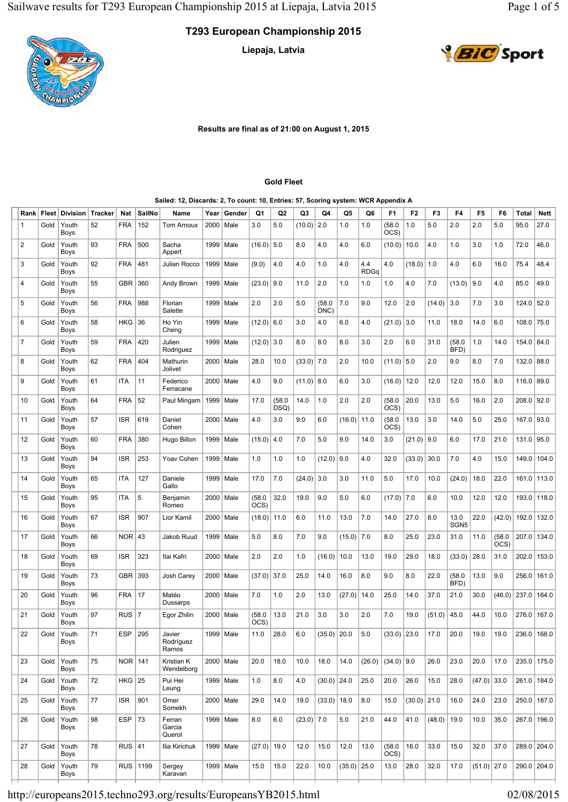**Liepaja, Latvia**







**Results are final as of 21:00 on August 1, 2015**

#### **Gold Fleet**

**Sailed: 12, Discards: 2, To count: 10, Entries: 57, Scoring system: WCR Appendix A**

|                |      |                      |         |            |            | Jalicu. IZ, Distalus. Z,     |             | <b>TO COUTE</b> | πυ,            | Liiu ica.      | Jr, ocornig  |                |               | ישוע               |                |                |               |                          |                |                |                      |             |
|----------------|------|----------------------|---------|------------|------------|------------------------------|-------------|-----------------|----------------|----------------|--------------|----------------|---------------|--------------------|----------------|----------------|---------------|--------------------------|----------------|----------------|----------------------|-------------|
| Rank Fleet     |      | <b>Division</b>      | Tracker | <b>Nat</b> | SailNo     | Name                         | Year        | Gender          | Q1             | Q2             | Q3           | Q4             | Q5            | Q6                 | F <sub>1</sub> | F <sub>2</sub> | F3            | F4                       | F <sub>5</sub> | F <sub>6</sub> | Total                | <b>Nett</b> |
| $\mathbf{1}$   | Gold | Youth<br><b>Boys</b> | 52      | <b>FRA</b> | 152        | <b>Tom Arnoux</b>            | 2000        | Male            | 3.0            | 5.0            | $(10.0)$ 2.0 |                | 1.0           | 1.0                | (58.0)<br>OCS) | 1.0            | 5.0           | 2.0                      | 2.0            | 5.0            | 95.0                 | 27.0        |
| 2              | Gold | Youth<br>Boys        | 93      | <b>FRA</b> | 500        | Sacha<br>Appert              |             | 1999   Male     | $(16.0)$ 5.0   |                | 8.0          | 4.0            | 4.0           | 6.0                | (10.0)         | 10.0           | 4.0           | 1.0                      | 3.0            | 1.0            | 72.0                 | 46.0        |
| 3              | Gold | Youth<br>Boys        | 92      | <b>FRA</b> | 481        | Julian Rocco                 |             | 1999   Male     | (9.0)          | 4.0            | 4.0          | 1.0            | 4.0           | 4.4<br><b>RDGq</b> | 4.0            | $(18.0)$ 1.0   |               | 4.0                      | 6.0            | 16.0           | 75.4                 | 48.4        |
| 4              | Gold | Youth<br>Boys        | 55      | <b>GBR</b> | 360        | Andy Brown                   |             | 1999   Male     | $(23.0)$ 9.0   |                | 11.0         | 2.0            | 1.0           | 1.0                | 1.0            | 4.0            | 7.0           | (13.0)                   | 9.0            | 4.0            | 85.0                 | 49.0        |
| 5              | Gold | Youth<br>Boys        | 56      | FRA        | 988        | Florian<br>Salette           |             | 1999   Male     | 2.0            | 2.0            | 5.0          | (58.0)<br>DNC) | 7.0           | 9.0                | 12.0           | 2.0            | (14.0)        | 3.0                      | 7.0            | 3.0            | 124.0   52.0         |             |
| 6              | Gold | Youth<br><b>Boys</b> | 58      | HKG        | 36         | Ho Yin<br>Cheng              |             | 1999   Male     | $(12.0)$ 6.0   |                | 3.0          | 4.0            | 6.0           | 4.0                | $(21.0)$ 3.0   |                | 11.0          | 18.0                     | 14.0           | 6.0            | $108.0$ 75.0         |             |
| $\overline{7}$ | Gold | Youth<br><b>Boys</b> | 59      | <b>FRA</b> | 420        | Julien<br>Rodriguez          |             | 1999   Male     | $(12.0)$ 3.0   |                | 8.0          | 8.0            | 8.0           | 3.0                | 2.0            | 6.0            | 31.0          | (58.0)<br>BFD)           | 1.0            | 14.0           | 154.0   84.0         |             |
| 8              | Gold | Youth<br><b>Boys</b> | 62      | <b>FRA</b> | 404        | Mathurin<br>Jolivet          |             | 2000   Male     | 28.0           | 10.0           | $(33.0)$ 7.0 |                | 2.0           | 10.0               | $(11.0)$ 5.0   |                | 2.0           | 9.0                      | 8.0            | 7.0            | 132.0   88.0         |             |
| 9              | Gold | Youth<br>Boys        | 61      | <b>ITA</b> | 11         | Federico<br>Ferracane        |             | 2000   Male     | 4.0            | 9.0            | $(11.0)$ 8.0 |                | 6.0           | 3.0                | (16.0)         | 12.0           | 12.0          | 12.0                     | 15.0           | 8.0            | 116.0   89.0         |             |
| 10             | Gold | Youth<br>Boys        | 64      | <b>FRA</b> | 52         | Paul Mingam                  | 1999   Male |                 | 17.0           | (58.0)<br>DSQ) | 14.0         | 1.0            | 2.0           | 2.0                | (58.0)<br>OCS) | 20.0           | 13.0          | 5.0                      | 16.0           | 2.0            | 208.0 92.0           |             |
| 11             | Gold | Youth<br><b>Boys</b> | 57      | <b>ISR</b> | 619        | Daniel<br>Cohen              |             | 2000   Male     | 4.0            | 3.0            | 9.0          | 6.0            | (16.0)        | 11.0               | (58.0)<br>OCS) | 13.0           | 3.0           | 14.0                     | 5.0            | 25.0           | 167.0 93.0           |             |
| 12             | Gold | Youth<br><b>Boys</b> | 60      | <b>FRA</b> | 380        | Hugo Billon                  |             | 1999   Male     | $(15.0)$ 4.0   |                | 7.0          | 5.0            | 9.0           | 14.0               | 3.0            | $(21.0)$ 9.0   |               | 6.0                      | 17.0           | 21.0           | $131.0$ 95.0         |             |
| 13             | Gold | Youth<br>Boys        | 94      | <b>ISR</b> | 253        | Yoav Cohen                   |             | 1999   Male     | 1.0            | 1.0            | 1.0          | $(12.0)$ 9.0   |               | 4.0                | 32.0           | $(33.0)$ 30.0  |               | 7.0                      | 4.0            | 15.0           | 149.0                | 104.0       |
| 14             | Gold | Youth<br><b>Boys</b> | 65      | ITA        | 127        | Daniele<br>Gallo             |             | 1999   Male     | 17.0           | 7.0            | $(24.0)$ 3.0 |                | 3.0           | 11.0               | 5.0            | 17.0           | 10.0          | (24.0)                   | 18.0           | 22.0           | 161.0                | 113.0       |
| 15             | Gold | Youth<br>Boys        | 95      | <b>ITA</b> | 5          | Benjamin<br>Romeo            |             | 2000 Male       | (58.0)<br>OCS) | 32.0           | 19.0         | 9.0            | 5.0           | 6.0                | $(17.0)$ 7.0   |                | 6.0           | 10.0                     | 12.0           | 12.0           |                      | 193.0 118.0 |
| 16             | Gold | Youth<br><b>Boys</b> | 67      | <b>ISR</b> | 907        | Lior Kamil                   |             | 2000   Male     | (18.0)         | 11.0           | 6.0          | 11.0           | 13.0          | 7.0                | 14.0           | 27.0           | 8.0           | 13.0<br>SGN <sub>5</sub> | 22.0           | (42.0)         | 192.0                | 132.0       |
| 17             | Gold | Youth<br><b>Boys</b> | 66      | $NOR$ 43   |            | Jakob Ruud                   |             | 1999   Male     | 5.0            | 8.0            | 7.0          | 9.0            | $(15.0)$ 7.0  |                    | 8.0            | 25.0           | 23.0          | 31.0                     | 11.0           | (58.0)<br>OCS) | 207.0                | 134.0       |
| 18             | Gold | Youth<br><b>Boys</b> | 69      | <b>ISR</b> | 323        | Itai Kafri                   |             | 2000   Male     | 2.0            | 2.0            | 1.0          | $(16.0)$ 10.0  |               | 13.0               | 19.0           | 29.0           | 18.0          | (33.0)                   | 28.0           | 31.0           | 202.0                | 153.0       |
| 19             | Gold | Youth<br><b>Boys</b> | 73      | GBR        | 393        | Josh Carey                   |             | 2000   Male     | (37.0)         | 37.0           | 25.0         | 14.0           | 16.0          | 8.0                | 9.0            | 8.0            | 22.0          | (58.0)<br>BFD)           | 13.0           | 9.0            | 256.0 161.0          |             |
| 20             | Gold | Youth<br>Boys        | 96      | FRA 17     |            | Matéo<br>Dussarps            | 2000   Male |                 | 7.0            | 1.0            | 2.0          | 13.0           | (27.0)        | 14.0               | 25.0           | 14.0           | 37.0          | 21.0                     | 30.0           |                | $(46.0)$ 237.0 164.0 |             |
| 21             | Gold | Youth<br>Boys        | 97      | RUS $ 7$   |            | Egor Zhilin                  |             | 2000   Male     | (58.0)<br>OCS) | 13.0           | 21.0         | 3.0            | 3.0           | 2.0                | 7.0            | 19.0           | (51.0)        | 45.0                     | 44.0           | 10.0           | 276.0 167.0          |             |
| 22             | Gold | Youth<br>Boys        | 71      | ESP        | 295        | Javier<br>Rodríguez<br>Ramos |             | 1999   Male     | 11.0           | 28.0           | 6.0          | $(35.0)$ 20.0  |               | 5.0                | $(33.0)$ 23.0  |                | 17.0          | 20.0                     | 19.0           | 19.0           | 236.0 168.0          |             |
| 23             | Gold | Youth<br>Boys        | 75      | NOR   141  |            | Kristian K<br>Wendelborg     |             | 2000   Male     | 20.0           | 18.0           | 10.0         | 18.0           | 14.0          | (26.0)             | $(34.0)$ 9.0   |                | 26.0          | 23.0                     | 20.0           | 17.0           |                      | 235.0 175.0 |
| 24             | Gold | Youth<br>Boys        | 72      | HKG 25     |            | Pui Hei<br>Leung             |             | 1999   Male     | 1.0            | 8.0            | 4.0          | $(30.0)$ 24.0  |               | 25.0               | 20.0           | 26.0           | 15.0          | 28.0                     | $(47.0)$ 33.0  |                | 261.0 184.0          |             |
| 25             | Gold | Youth<br><b>Boys</b> | 77      | <b>ISR</b> | 901        | Omer<br>Somekh               |             | 2000   Male     | 29.0           | 14.0           | 19.0         | $(33.0)$ 18.0  |               | 8.0                | 15.0           | $(30.0)$ 21.0  |               | 16.0                     | 24.0           | 23.0           | 250.0                | 187.0       |
| 26             | Gold | Youth<br><b>Boys</b> | 98      | ESP        | 73         | Ferran<br>Garcia<br>Querol   |             | 1999   Male     | 8.0            | 6.0            | $(23.0)$ 7.0 |                | 5.0           | 21.0               | 44.0           | 41.0           | $(48.0)$ 19.0 |                          | 10.0           | 35.0           |                      | 267.0 196.0 |
| 27             | Gold | Youth<br><b>Boys</b> | 78      | RUS   41   |            | Ilia Kirichuk                |             | 1999   Male     | $(27.0)$ 19.0  |                | 12.0         | 15.0           | 12.0          | 13.0               | (58.0)<br>OCS) | 16.0           | 33.0          | 15.0                     | 32.0           | 37.0           | 289.0                | 204.0       |
| 28             | Gold | Youth<br>Boys        | 79      |            | RUS   1199 | Sergey<br>Karavan            |             | 1999   Male     | 15.0           | 15.0           | 22.0         | 10.0           | $(35.0)$ 25.0 |                    | 13.0           | 28.0           | 32.0          | 17.0                     | $(51.0)$ 27.0  |                | 290.0 204.0          |             |
|                |      |                      |         |            |            |                              |             |                 |                |                |              |                |               |                    |                |                |               |                          |                |                |                      |             |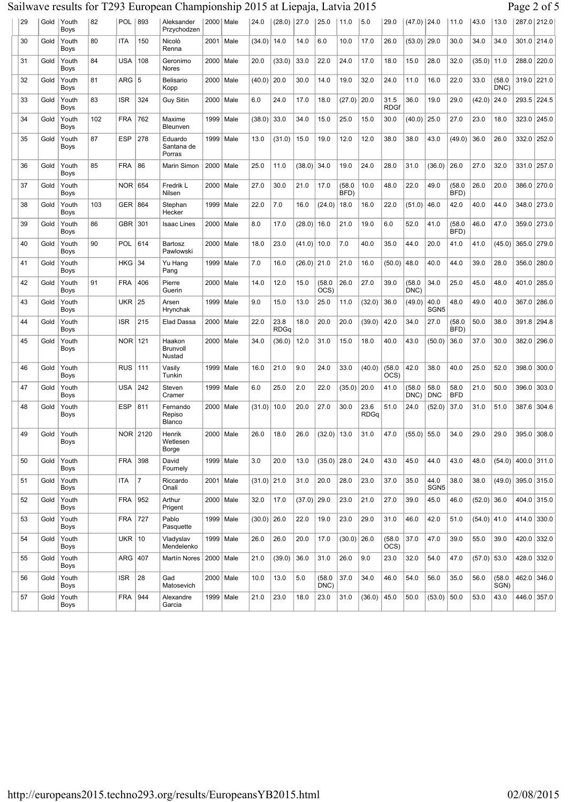## Sailwave results for T293 European Championship 2015 at Liepaja, Latvia 2015 Page 2 of 5

| 29 | Gold | Youth<br><b>Boys</b> | 82  | POL   893  |                | Aleksander<br>Przychodzen       | 2000   Male |             | 24.0          | $(28.0)$ 27.0       |               | 25.0           | 11.0           | 5.0                 | 29.0                | $(47.0)$ 24.0  |                          | 11.0               | 43.0          | 13.0           |             | 287.0 212.0 |
|----|------|----------------------|-----|------------|----------------|---------------------------------|-------------|-------------|---------------|---------------------|---------------|----------------|----------------|---------------------|---------------------|----------------|--------------------------|--------------------|---------------|----------------|-------------|-------------|
| 30 | Gold | Youth<br>Boys        | 80  | <b>ITA</b> | 150            | Nicolò<br>Renna                 | 2001   Male |             | (34.0)        | 14.0                | 14.0          | 6.0            | 10.0           | 17.0                | 26.0                | $(53.0)$ 29.0  |                          | 30.0               | 34.0          | 34.0           |             | 301.0 214.0 |
| 31 | Gold | Youth<br>Boys        | 84  | USA        | 108            | Geronimo<br>Nores               | 2000   Male |             | 20.0          | (33.0)              | 33.0          | 22.0           | 24.0           | 17.0                | 18.0                | 15.0           | 28.0                     | 32.0               | (35.0)        | 11.0           |             | 288.0 220.0 |
| 32 | Gold | Youth<br>Boys        | 81  | ARG $ 5$   |                | <b>Belisario</b><br>Kopp        | 2000   Male |             | (40.0)        | 20.0                | 30.0          | 14.0           | 19.0           | 32.0                | 24.0                | 11.0           | 16.0                     | 22.0               | 33.0          | (58.0)<br>DNC) |             | 319.0 221.0 |
| 33 | Gold | Youth<br>Boys        | 83  | <b>ISR</b> | 324            | <b>Guy Sitin</b>                | 2000   Male |             | 6.0           | 24.0                | 17.0          | 18.0           | (27.0)         | 20.0                | 31.5<br><b>RDGf</b> | 36.0           | 19.0                     | 29.0               | (42.0)        | 24.0           |             | 293.5 224.5 |
| 34 | Gold | Youth<br>Boys        | 102 | FRA        | 762            | Maxime<br>Bleunven              | 1999   Male |             | (38.0)        | 33.0                | 34.0          | 15.0           | 25.0           | 15.0                | 30.0                | $(40.0)$ 25.0  |                          | 27.0               | 23.0          | 18.0           | 323.0       | 245.0       |
| 35 | Gold | Youth<br><b>Boys</b> | 87  | <b>ESP</b> | 278            | Eduardo<br>Santana de<br>Porras |             | 1999   Male | 13.0          | (31.0)              | 15.0          | 19.0           | 12.0           | 12.0                | 38.0                | 38.0           | 43.0                     | (49.0)             | 36.0          | 26.0           |             | 332.0 252.0 |
| 36 | Gold | Youth<br>Boys        | 85  | <b>FRA</b> | 86             | Marin Simon                     | 2000   Male |             | 25.0          | 11.0                | (38.0)        | 34.0           | 19.0           | 24.0                | 28.0                | 31.0           | (36.0)                   | 26.0               | 27.0          | 32.0           | 331.0       | 257.0       |
| 37 | Gold | Youth<br>Boys        |     | $NOR$ 654  |                | Fredrik L<br>Nilsen             | 2000   Male |             | 27.0          | 30.0                | 21.0          | 17.0           | (58.0)<br>BFD) | 10.0                | 48.0                | 22.0           | 49.0                     | (58.0<br>BFD)      | 26.0          | 20.0           |             | 386.0 270.0 |
| 38 | Gold | Youth<br><b>Boys</b> | 103 | GER 864    |                | Stephan<br>Hecker               | 1999   Male |             | 22.0          | 7.0                 | 16.0          | (24.0)         | 18.0           | 16.0                | 22.0                | (51.0)         | 46.0                     | 42.0               | 40.0          | 44.0           |             | 348.0 273.0 |
| 39 | Gold | Youth<br><b>Boys</b> | 86  | GBR        | 301            | <b>Isaac Lines</b>              | 2000   Male |             | 8.0           | 17.0                | (28.0)        | 16.0           | 21.0           | 19.0                | 6.0                 | 52.0           | 41.0                     | (58.0)<br>BFD)     | 46.0          | 47.0           |             | 359.0 273.0 |
| 40 | Gold | Youth<br><b>Boys</b> | 90  | POL        | 614            | Bartosz<br>Pawlowski            | 2000   Male |             | 18.0          | 23.0                | (41.0)        | 10.0           | 7.0            | 40.0                | 35.0                | 44.0           | 20.0                     | 41.0               | 41.0          | (45.0)         |             | 365.0 279.0 |
| 41 | Gold | Youth<br>Boys        |     | $HKG$ 34   |                | Yu Hang<br>Pang                 | 1999   Male |             | 7.0           | 16.0                | $(26.0)$ 21.0 |                | 21.0           | 16.0                | (50.0)              | 48.0           | 40.0                     | 44.0               | 39.0          | 28.0           |             | 356.0 280.0 |
| 42 | Gold | Youth<br><b>Boys</b> | 91  | FRA        | 406            | Pierre<br>Guerin                | 2000   Male |             | 14.0          | 12.0                | 15.0          | (58.0)<br>OCS) | 26.0           | 27.0                | 39.0                | (58.0)<br>DNC) | 34.0                     | 25.0               | 45.0          | 48.0           |             | 401.0 285.0 |
| 43 | Gold | Youth<br><b>Boys</b> |     | UKR        | 25             | Arsen<br>Hrynchak               | 1999   Male |             | 9.0           | 15.0                | 13.0          | 25.0           | 11.0           | (32.0)              | 36.0                | (49.0)         | 40.0<br>SGN <sub>5</sub> | 48.0               | 49.0          | 40.0           |             | 367.0 286.0 |
| 44 | Gold | Youth<br><b>Boys</b> |     | <b>ISR</b> | 215            | Elad Dassa                      | 2000   Male |             | 22.0          | 23.8<br><b>RDGq</b> | 18.0          | 20.0           | 20.0           | (39.0)              | 42.0                | 34.0           | 27.0                     | (58.0)<br>BFD)     | 50.0          | 38.0           |             | 391.8 294.8 |
| 45 | Gold | Youth<br><b>Boys</b> |     | NOR 121    |                | Haakon<br>Brunvoll<br>Nustad    | 2000   Male |             | 34.0          | (36.0)              | 12.0          | 31.0           | 15.0           | 18.0                | 40.0                | 43.0           | (50.0)                   | 36.0               | 37.0          | 30.0           |             | 382.0 296.0 |
| 46 | Gold | Youth<br><b>Boys</b> |     | <b>RUS</b> | 111            | Vasily<br>Tunkin                | 1999   Male |             | 16.0          | 21.0                | 9.0           | 24.0           | 33.0           | (40.0)              | (58.0)<br>OCS)      | 42.0           | 38.0                     | 40.0               | 25.0          | 52.0           | 398.0       | 300.0       |
| 47 | Gold | Youth<br><b>Boys</b> |     | USA        | 242            | Steven<br>Cramer                |             | 1999   Male | 6.0           | 25.0                | 2.0           | 22.0           | (35.0)         | 20.0                | 41.0                | (58.0)<br>DNC) | 58.0<br><b>DNC</b>       | 58.0<br><b>BFD</b> | 21.0          | 50.0           |             | 396.0 303.0 |
| 48 | Gold | Youth<br>Boys        |     | <b>ESP</b> | 811            | Fernando<br>Repiso              | 2000   Male |             | (31.0)        | 10.0                | 20.0          | 27.0           | 30.0           | 23.6<br><b>RDGq</b> | 51.0                | 24.0           | (52.0)                   | 37.0               | 31.0          | 51.0           |             | 387.6 304.6 |
| 49 | Gold | Youth                |     |            | NOR 2120       | Blanco<br>Henrik                | 2000   Male |             | 26.0          | 18.0                | 26.0          | $(32.0)$ 13.0  |                | 31.0                | 47.0                | $(55.0)$ 55.0  |                          | 34.0               | 29.0          | 29.0           |             | 395.0 308.0 |
|    |      | Boys                 |     |            |                | Wetlesen<br>Borge               |             |             |               |                     |               |                |                |                     |                     |                |                          |                    |               |                |             |             |
| 50 | Gold | Youth<br><b>Boys</b> |     | FRA        | 398            | David<br>Fournely               |             | 1999   Male | 3.0           | 20.0                | 13.0          | $(35.0)$ 28.0  |                | 24.0                | 43.0                | 45.0           | 44.0                     | 43.0               | 48.0          | (54.0)         |             | 400.0 311.0 |
| 51 | Gold | Youth<br><b>Boys</b> |     | ITA        | $\overline{7}$ | Riccardo<br>Onali               | 2001   Male |             | $(31.0)$ 21.0 |                     | 31.0          | 20.0           | 28.0           | 23.0                | 37.0                | 35.0           | 44.0<br>SGN <sub>5</sub> | 38.0               | 38.0          | (49.0)         | 395.0 315.0 |             |
| 52 | Gold | Youth<br>Boys        |     | FRA        | 952            | Arthur<br>Prigent               | 2000   Male |             | 32.0          | 17.0                | $(37.0)$ 29.0 |                | 23.0           | 21.0                | 27.0                | 39.0           | 45.0                     | 46.0               | $(52.0)$ 36.0 |                |             | 404.0 315.0 |
| 53 | Gold | Youth<br><b>Boys</b> |     | FRA        | 727            | Pablo<br>Pasquette              | 1999   Male |             | (30.0)        | 26.0                | 22.0          | 19.0           | 23.0           | 29.0                | 31.0                | 46.0           | 42.0                     | 51.0               | $(54.0)$ 41.0 |                | 414.0       | 330.0       |
| 54 | Gold | Youth<br>Boys        |     | <b>UKR</b> | 10             | Vladyslav<br>Mendelenko         |             | 1999   Male | 26.0          | 26.0                | 20.0          | 17.0           | $(30.0)$ 26.0  |                     | (58.0)<br>OCS)      | 37.0           | 47.0                     | 39.0               | 55.0          | 39.0           |             | 420.0 332.0 |
| 55 | Gold | Youth<br>Boys        |     | ARG        | 407            | Martín Nores                    | 2000   Male |             | 21.0          | (39.0)              | 36.0          | 31.0           | 26.0           | 9.0                 | 23.0                | 32.0           | 54.0                     | 47.0               | $(57.0)$ 53.0 |                |             | 428.0 332.0 |
| 56 | Gold | Youth<br>Boys        |     | <b>ISR</b> | 28             | Gad<br>Matosevich               | 2000   Male |             | 10.0          | 13.0                | 5.0           | (58.0)<br>DNC) | 37.0           | 34.0                | 46.0                | 54.0           | 56.0                     | 35.0               | 56.0          | (58.0)<br>SGN) |             | 462.0 346.0 |
| 57 | Gold | Youth<br>Boys        |     | FRA        | 944            | Alexandre<br>Garcia             |             | 1999   Male | 21.0          | 23.0                | 18.0          | 23.0           | 31.0           | (36.0)              | 45.0                | 50.0           | (53.0)                   | 50.0               | 53.0          | 43.0           |             | 446.0 357.0 |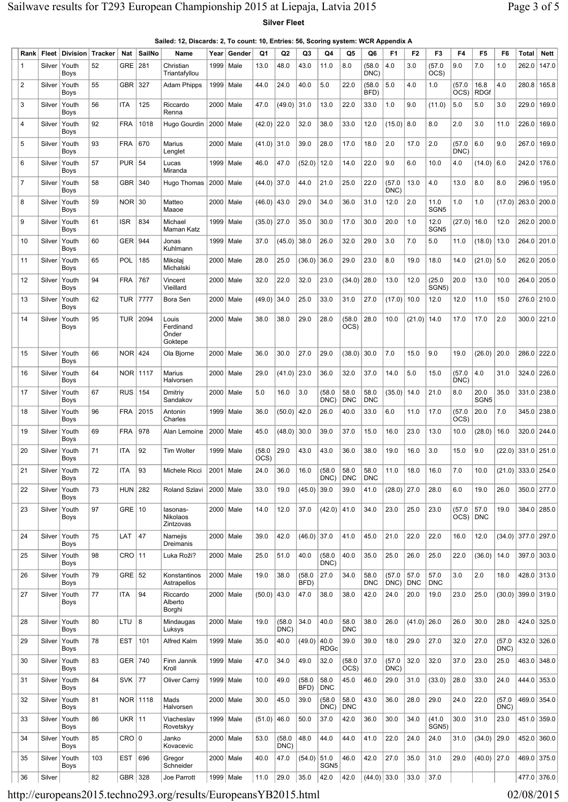# Sailwave results for T293 European Championship 2015 at Liepaja, Latvia 2015 Page 3 of 5

#### **Silver Fleet**

**Sailed: 12, Discards: 2, To count: 10, Entries: 56, Scoring system: WCR Appendix A**

| Rank∣          | <b>Fleet</b><br>Silver | Division Tracker<br>Youth | 52  | Nat<br>GRE | SailNo<br>281 | Name<br>Christian                      |           | Year   Gender<br>1999   Male | Q1<br>13.0     | Q <sub>2</sub><br>48.0 | Q3<br>43.0     | Q4<br>11.0          | Q5<br>8.0          | Q6<br>(58.0)       | F1<br>4.0      | F <sub>2</sub><br>3.0 | F3<br>(57.0                  | F4<br>9.0      | F5<br>7.0                | F6<br>1.0            | Total<br>262.0       | <b>Nett</b><br>147.0 |
|----------------|------------------------|---------------------------|-----|------------|---------------|----------------------------------------|-----------|------------------------------|----------------|------------------------|----------------|---------------------|--------------------|--------------------|----------------|-----------------------|------------------------------|----------------|--------------------------|----------------------|----------------------|----------------------|
| $\overline{2}$ | Silver                 | Boys<br>Youth             | 55  | GBR        | 327           | Triantafyllou<br>Adam Phipps           |           | 1999   Male                  | 44.0           | 24.0                   | 40.0           | 5.0                 | 22.0               | DNC)<br>(58.0)     | 5.0            | 4.0                   | OCS)<br>1.0                  | (57.0          | 16.8                     | 4.0                  |                      | 280.8 165.8          |
| 3              | Silver                 | Boys<br>Youth             | 56  | ITA        | 125           | Riccardo                               | 2000      | Male                         | 47.0           | $(49.0)$ 31.0          |                | 13.0                | 22.0               | BFD)<br>33.0       | 1.0            | 9.0                   | (11.0)                       | OCS)<br>5.0    | <b>RDGf</b><br>5.0       | 3.0                  | 229.0                | 169.0                |
| 4              | Silver                 | Boys<br>Youth             | 92  | <b>FRA</b> | 1018          | Renna<br>Hugo Gourdin                  | 2000 Male |                              | $(42.0)$ 22.0  |                        | 32.0           | 38.0                | 33.0               | 12.0               | $(15.0)$ 8.0   |                       | 8.0                          | 2.0            | 3.0                      | 11.0                 | 226.0                | 169.0                |
| 5              | Silver                 | Boys<br>Youth             | 93  | <b>FRA</b> | 670           | Marius                                 |           | 2000   Male                  | $(41.0)$ 31.0  |                        | 39.0           | 28.0                | 17.0               | 18.0               | 2.0            | 17.0                  | 2.0                          | (57.0          | 6.0                      | 9.0                  |                      | 267.0 169.0          |
| 6              | Silver                 | Boys<br>Youth             | 57  | $PUR$ 54   |               | Lenglet<br>Lucas                       |           | 1999   Male                  | 46.0           | 47.0                   | (52.0)         | 12.0                | 14.0               | 22.0               | 9.0            | 6.0                   | 10.0                         | DNC)<br>4.0    | (14.0)                   | 6.0                  | 242.0                | 176.0                |
| 7              | Silver                 | Boys<br>Youth<br>Boys     | 58  | <b>GBR</b> | 340           | Miranda<br>Hugo Thomas                 |           | 2000   Male                  | (44.0)         | 37.0                   | 44.0           | 21.0                | 25.0               | 22.0               | (57.0<br>DNC)  | 13.0                  | 4.0                          | 13.0           | 8.0                      | 8.0                  |                      | 296.0 195.0          |
| 8              | Silver                 | Youth<br>Boys             | 59  | $NOR$ 30   |               | Matteo<br>Maaoe                        |           | 2000   Male                  | $(46.0)$ 43.0  |                        | 29.0           | 34.0                | 36.0               | 31.0               | 12.0           | 2.0                   | 11.0<br>SGN <sub>5</sub>     | 1.0            | 1.0                      | (17.0)               | 263.0 200.0          |                      |
| 9              | Silver                 | Youth<br><b>Boys</b>      | 61  | <b>ISR</b> | 834           | Michael<br>Maman Katz                  |           | 1999   Male                  | $(35.0)$ 27.0  |                        | 35.0           | 30.0                | 17.0               | 30.0               | 20.0           | 1.0                   | 12.0<br>SGN <sub>5</sub>     | $(27.0)$ 16.0  |                          | 12.0                 |                      | 262.0 200.0          |
| 10             | Silver                 | Youth<br>Boys             | 60  | GER        | 944           | Jonas<br>Kuhlmann                      | 1999      | Male                         | 37.0           | $(45.0)$ 38.0          |                | 26.0                | 32.0               | 29.0               | 3.0            | 7.0                   | 5.0                          | 11.0           | (18.0)                   | 13.0                 |                      | 264.0 201.0          |
| 11             | Silver                 | Youth<br>Boys             | 65  | POL        | 185           | Mikolaj<br>Michalski                   |           | 2000   Male                  | 28.0           | 25.0                   | (36.0)         | 36.0                | 29.0               | 23.0               | 8.0            | 19.0                  | 18.0                         | 14.0           | $(21.0)$ 5.0             |                      |                      | 262.0 205.0          |
| 12             | Silver                 | Youth<br>Boys             | 94  | <b>FRA</b> | 767           | Vincent<br>Vieillard                   |           | 2000   Male                  | 32.0           | 22.0                   | 32.0           | 23.0                | (34.0)             | 28.0               | 13.0           | 12.0                  | (25.0)<br>SGN <sub>5</sub> ) | 20.0           | 13.0                     | 10.0                 |                      | 264.0 205.0          |
| 13             | Silver                 | Youth<br>Boys             | 62  | <b>TUR</b> | 7777          | Bora Sen                               |           | 2000   Male                  | (49.0)         | 34.0                   | 25.0           | 33.0                | 31.0               | 27.0               | (17.0)         | 10.0                  | 12.0                         | 12.0           | 11.0                     | 15.0                 |                      | 276.0 210.0          |
| 14             | Silver                 | Youth<br>Boys             | 95  | TUR        | 2094          | Louis<br>Ferdinand<br>Önder<br>Goktepe |           | 2000   Male                  | 38.0           | 38.0                   | 29.0           | 28.0                | (58.0)<br>OCS)     | 28.0               | 10.0           | (21.0)                | 14.0                         | 17.0           | 17.0                     | 2.0                  |                      | 300.0 221.0          |
| 15             | Silver                 | Youth<br>Boys             | 66  | NOR        | 424           | Ola Bjorne                             |           | 2000   Male                  | 36.0           | 30.0                   | 27.0           | 29.0                | (38.0)             | 30.0               | 7.0            | 15.0                  | 9.0                          | 19.0           | (26.0)                   | 20.0                 |                      | 286.0 222.0          |
| 16             | Silver                 | Youth<br><b>Boys</b>      | 64  |            | NOR 1117      | Marius<br>Halvorsen                    |           | 2000   Male                  | 29.0           | $(41.0)$ 23.0          |                | 36.0                | 32.0               | 37.0               | 14.0           | 5.0                   | 15.0                         | (57.0)<br>DNC) | 4.0                      | 31.0                 |                      | 324.0 226.0          |
| 17             | Silver                 | Youth<br>Boys             | 67  | <b>RUS</b> | 154           | Dmitriy<br>Sandakov                    |           | 2000   Male                  | 5.0            | 16.0                   | 3.0            | (58.0<br>DNC)       | 58.0<br><b>DNC</b> | 58.0<br><b>DNC</b> | (35.0)         | 14.0                  | 21.0                         | 8.0            | 20.0<br>SGN <sub>5</sub> | 35.0                 |                      | 331.0 238.0          |
| 18             | Silver                 | Youth<br>Boys             | 96  | <b>FRA</b> | 2015          | Antonin<br>Charles                     | 1999      | Male                         | 36.0           | $(50.0)$ 42.0          |                | 26.0                | 40.0               | 33.0               | 6.0            | 11.0                  | 17.0                         | (57.0<br>OCS)  | 20.0                     | 7.0                  |                      | 345.0 238.0          |
| 19             | Silver                 | Youth<br>Boys             | 69  | <b>FRA</b> | 978           | Alan Lemoine                           |           | 2000 Male                    | 45.0           | (48.0)                 | 30.0           | 39.0                | 37.0               | 15.0               | 16.0           | 23.0                  | 13.0                         | 10.0           | (28.0)                   | 16.0                 |                      | 320.0 244.0          |
| 20             |                        | Silver   Youth<br>Boys    | 71  | ITA        | 92            | Tim Wolter                             |           | 1999   Male                  | (58.0)<br>OCS) | 29.0                   | 43.0           | 43.0                | 36.0               | 38.0               | 19.0           | 16.0                  | 3.0                          | 15.0           | 9.0                      |                      | $(22.0)$ 331.0 251.0 |                      |
| 21             |                        | Silver Youth<br>Boys      | 72  | ITA        | 93            | Michele Ricci                          |           | 2001   Male                  | 24.0           | 36.0                   | 16.0           | (58.0)<br>DNC)      | 58.0<br><b>DNC</b> | 58.0<br><b>DNC</b> | 11.0           | 18.0                  | 16.0                         | 7.0            | 10.0                     | $(21.0)$ 333.0 254.0 |                      |                      |
| 22             | Silver                 | Youth<br>Boys             | 73  | HUN $282$  |               | Roland Szlavi                          |           | 2000 Male                    | 33.0           | 19.0                   | $(45.0)$ 39.0  |                     | 39.0               | 41.0               | $(28.0)$ 27.0  |                       | 28.0                         | 6.0            | 19.0                     | 26.0                 |                      | 350.0 277.0          |
| 23             | Silver                 | Youth<br>Boys             | 97  | $GRE$   10 |               | lasonas-<br>Nikolaos<br>Zintzovas      |           | 2000   Male                  | 14.0           | 12.0                   | 37.0           | (42.0)              | 41.0               | 34.0               | 23.0           | 25.0                  | 23.0                         | (57.0<br>OCS)  | 57.0<br> DNC             | 19.0                 |                      | 384.0 285.0          |
| 24             | Silver                 | Youth<br>Boys             | 75  | LAT        | 47            | Namejis<br>Dreimanis                   |           | 2000   Male                  | 39.0           | 42.0                   | (46.0)         | 37.0                | 41.0               | 45.0               | 21.0           | 22.0                  | 22.0                         | 16.0           | 12.0                     |                      | $(34.0)$ 377.0 297.0 |                      |
| 25             | Silver                 | Youth<br>Boys             | 98  | $CRO$   11 |               | Luka Roži?                             |           | 2000   Male                  | 25.0           | 51.0                   | 40.0           | (58.0)<br>DNC)      | 40.0               | 35.0               | 25.0           | 26.0                  | 25.0                         | 22.0           | (36.0)                   | 14.0                 |                      | 397.0 303.0          |
| 26             | Silver                 | Youth<br>Boys             | 79  | $GRE$ 52   |               | Konstantinos<br>Astrapellos            |           | 2000   Male                  | 19.0           | 38.0                   | (58.0)<br>BFD) | 27.0                | 34.0               | 58.0<br><b>DNC</b> | (57.0)<br>DNC) | 57.0<br><b>DNC</b>    | 57.0<br><b>DNC</b>           | 3.0            | 2.0                      | 18.0                 |                      | 428.0 313.0          |
| 27             | Silver                 | Youth<br><b>Boys</b>      | 77  | ITA        | 94            | Riccardo<br>Alberto<br>Borghi          |           | 2000   Male                  | (50.0)         | 43.0                   | 47.0           | 38.0                | 38.0               | 42.0               | 24.0           | 20.0                  | 19.0                         | 23.0           | 25.0                     |                      |                      | $(30.0)$ 399.0 319.0 |
| 28             | Silver                 | Youth<br>Boys             | 80  | LTU        | 8             | Mindaugas<br>Luksys                    |           | 2000   Male                  | 19.0           | (58.0)<br>DNC)         | 34.0           | 40.0                | 58.0<br><b>DNC</b> | 38.0               | 26.0           | (41.0)                | 26.0                         | 26.0           | 30.0                     | 28.0                 |                      | 424.0 325.0          |
| 29             | Silver                 | Youth<br>Boys             | 78  | <b>EST</b> | 101           | Alfred Kalm                            |           | 1999   Male                  | 35.0           | 40.0                   | (49.0)         | 40.0<br><b>RDGc</b> | 39.0               | 39.0               | 18.0           | 29.0                  | 27.0                         | 32.0           | 27.0                     | (57.0)<br>DNC)       |                      | 432.0 326.0          |
| 30             | Silver                 | Youth<br><b>Boys</b>      | 83  | GER 740    |               | Finn Jannik<br>Kroll                   |           | 1999   Male                  | 47.0           | 34.0                   | 49.0           | 32.0                | (58.0)<br>OCS)     | 37.0               | (57.0)<br>DNC) | 32.0                  | 32.0                         | 37.0           | 23.0                     | 25.0                 |                      | 463.0 348.0          |
| 31             | Silver                 | Youth<br>Boys             | 84  | SVK   77   |               | Oliver Carný                           |           | 1999   Male                  | 10.0           | 49.0                   | (58.0)<br>BFD) | 58.0<br><b>DNC</b>  | 45.0               | 46.0               | 29.0           | 31.0                  | (33.0)                       | 28.0           | 33.0                     | 24.0                 |                      | 444.0 353.0          |
| 32             |                        | Silver   Youth<br>Boys    | 81  |            | NOR 1118      | Mads<br>Halvorsen                      |           | 2000   Male                  | 30.0           | 45.0                   | 39.0           | (58.0)<br>DNC)      | 58.0<br><b>DNC</b> | 43.0               | 36.0           | 28.0                  | 29.0                         | 24.0           | 22.0                     | (57.0)<br>DNC)       |                      | 469.0 354.0          |
| 33             |                        | Silver   Youth<br>Boys    | 86  | UKR 11     |               | Viacheslav<br>Rovetskyy                |           | 1999   Male                  | (51.0)         | 46.0                   | 50.0           | 37.0                | 42.0               | 36.0               | 30.0           | 34.0                  | (41.0)<br>SGN <sub>5</sub> ) | 30.0           | 31.0                     | 23.0                 |                      | 451.0 359.0          |
| 34             | Silver                 | Youth<br>Boys             | 85  | CRO 0      |               | Janko<br>Kovacevic                     |           | 2000   Male                  | 53.0           | (58.0)<br>DNC)         | 48.0           | 44.0                | 44.0               | 41.0               | 22.0           | 24.0                  | 24.0                         | 31.0           | $(34.0)$ 29.0            |                      |                      | 452.0 360.0          |
| 35             | Silver                 | Youth<br><b>Boys</b>      | 103 | <b>EST</b> | 696           | Gregor<br>Schneider                    |           | 2000   Male                  | 40.0           | 47.0                   | $(54.0)$ 51.0  | SGN <sub>5</sub>    | 46.0               | 42.0               | 27.0           | 35.0                  | 31.0                         | 29.0           | $(40.0)$ 27.0            |                      |                      | 469.0 375.0          |
| 36             | Silver                 |                           | 82  | GBR 328    |               | Joe Parrott                            |           | 1999   Male                  | 11.0           | 29.0                   | 35.0           | 42.0                | 42.0               | $(44.0)$ 33.0      |                | 33.0                  | 37.0                         |                |                          |                      |                      | 477.0 376.0          |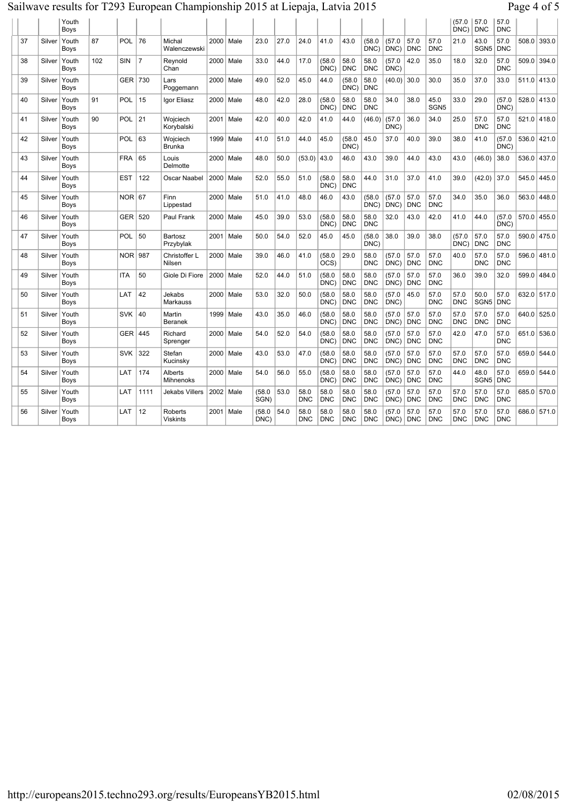# Sailwave results for T293 European Championship 2015 at Liepaja, Latvia 2015 Page 4 of 5

|    |        | Youth<br>Boys        |     |            |                |                                   |      |             |                |      |                    |                    |                    |                    |                  |                    |                          | (57.0)<br>DNC)     | 57.0<br><b>DNC</b>       | 57.0<br><b>DNC</b> |       |             |
|----|--------|----------------------|-----|------------|----------------|-----------------------------------|------|-------------|----------------|------|--------------------|--------------------|--------------------|--------------------|------------------|--------------------|--------------------------|--------------------|--------------------------|--------------------|-------|-------------|
| 37 | Silver | Youth<br>Boys        | 87  | POL        | 76             | Michal<br>Walenczewski            | 2000 | Male        | 23.0           | 27.0 | 24.0               | 41.0               | 43.0               | (58.0)<br>DNC)     | (57.0)<br>DNC)   | 57.0<br><b>DNC</b> | 57.0<br><b>DNC</b>       | 21.0               | 43.0<br>SGN <sub>5</sub> | 57.0<br><b>DNC</b> | 508.0 | 393.0       |
| 38 | Silver | Youth<br>Boys        | 102 | <b>SIN</b> | $\overline{7}$ | Revnold<br>Chan                   | 2000 | Male        | 33.0           | 44.0 | 17.0               | (58.0)<br>DNC)     | 58.0<br><b>DNC</b> | 58.0<br><b>DNC</b> | (57.0)<br>DNC)   | 42.0               | 35.0                     | 18.0               | 32.0                     | 57.0<br><b>DNC</b> | 509.0 | 394.0       |
| 39 | Silver | Youth<br>Boys        |     | GER 730    |                | Lars<br>Poggemann                 | 2000 | Male        | 49.0           | 52.0 | 45.0               | 44.0               | (58.0)<br>DNC)     | 58.0<br><b>DNC</b> | (40.0)           | 30.0               | 30.0                     | 35.0               | 37.0                     | 33.0               |       | 511.0 413.0 |
| 40 | Silver | Youth<br>Boys        | 91  | POL        | 15             | Igor Eliasz                       | 2000 | Male        | 48.0           | 42.0 | 28.0               | (58.0)<br>DNC)     | 58.0<br><b>DNC</b> | 58.0<br><b>DNC</b> | 34.0             | 38.0               | 45.0<br>SGN <sub>5</sub> | 33.0               | 29.0                     | (57.0<br>DNC)      |       | 528.0 413.0 |
| 41 | Silver | Youth<br>Boys        | 90  | <b>POL</b> | 21             | Wojciech<br>Korybalski            | 2001 | Male        | 42.0           | 40.0 | 42.0               | 41.0               | 44.0               | (46.0)             | (57.0)<br>DNC)   | 36.0               | 34.0                     | 25.0               | 57.0<br><b>DNC</b>       | 57.0<br><b>DNC</b> | 521.0 | 418.0       |
| 42 | Silver | Youth<br>Boys        |     | POL        | 63             | Wojciech<br><b>Brunka</b>         | 1999 | Male        | 41.0           | 51.0 | 44.0               | 45.0               | (58.0)<br>DNC      | 45.0               | 37.0             | 40.0               | 39.0                     | 38.0               | 41.0                     | (57.0<br>DNC       |       | 536.0 421.0 |
| 43 | Silver | Youth<br>Boys        |     | <b>FRA</b> | 65             | Louis<br>Delmotte                 | 2000 | Male        | 48.0           | 50.0 | (53.0)             | 43.0               | 46.0               | 43.0               | 39.0             | 44.0               | 43.0                     | 43.0               | (46.0)                   | 38.0               | 536.0 | 437.0       |
| 44 | Silver | Youth<br>Boys        |     | <b>EST</b> | 122            | Oscar Naabel                      | 2000 | Male        | 52.0           | 55.0 | 51.0               | (58.0)<br>DNC)     | 58.0<br><b>DNC</b> | 44.0               | 31.0             | 37.0               | 41.0                     | 39.0               | (42.0)                   | 37.0               | 545.0 | 445.0       |
| 45 | Silver | Youth<br>Boys        |     | NOR   67   |                | Finn<br>Lippestad                 | 2000 | Male        | 51.0           | 41.0 | 48.0               | 46.0               | 43.0               | (58.0)<br>DNC)     | (57.0)<br>DNC)   | 57.0<br><b>DNC</b> | 57.0<br><b>DNC</b>       | 34.0               | 35.0                     | 36.0               | 563.0 | 448.0       |
| 46 | Silver | Youth<br>Boys        |     | <b>GER</b> | 520            | Paul Frank                        | 2000 | Male        | 45.0           | 39.0 | 53.0               | (58.0)<br>DNC)     | 58.0<br><b>DNC</b> | 58.0<br><b>DNC</b> | 32.0             | 43.0               | 42.0                     | 41.0               | 44.0                     | (57.0<br>DNC)      | 570.0 | 455.0       |
| 47 | Silver | Youth<br>Boys        |     | <b>POL</b> | 50             | Bartosz<br>Przybylak              | 2001 | Male        | 50.0           | 54.0 | 52.0               | 45.0               | 45.0               | (58.0)<br>DNC)     | 38.0             | 39.0               | 38.0                     | (57.0)<br>DNC)     | 57.0<br><b>DNC</b>       | 57.0<br><b>DNC</b> |       | 590.0 475.0 |
| 48 | Silver | Youth<br>Boys        |     | <b>NOR</b> | 987            | Christoffer L<br>Nilsen           | 2000 | Male        | 39.0           | 46.0 | 41.0               | (58.0)<br>OCS)     | 29.0               | 58.0<br><b>DNC</b> | (57.0<br>DNC)    | 57.0<br><b>DNC</b> | 57.0<br><b>DNC</b>       | 40.0               | 57.0<br><b>DNC</b>       | 57.0<br><b>DNC</b> | 596.0 | 481.0       |
| 49 | Silver | Youth<br>Boys        |     | ITA        | 50             | Giole Di Fiore                    | 2000 | Male        | 52.0           | 44.0 | 51.0               | (58.0)<br>DNC)     | 58.0<br><b>DNC</b> | 58.0<br><b>DNC</b> | (57.0<br>DNC)    | 57.0<br><b>DNC</b> | 57.0<br><b>DNC</b>       | 36.0               | 39.0                     | 32.0               | 599.0 | 484.0       |
| 50 | Silver | Youth<br>Boys        |     | LAT        | 42             | Jekabs<br><b>Markauss</b>         | 2000 | Male        | 53.0           | 32.0 | 50.0               | (58.0)<br>DNC)     | 58.0<br><b>DNC</b> | 58.0<br><b>DNC</b> | (57.0<br>DNC)    | 45.0               | 57.0<br><b>DNC</b>       | 57.0<br><b>DNC</b> | 50.0<br>SGN <sub>5</sub> | 57.0<br><b>DNC</b> | 632.0 | 517.0       |
| 51 | Silver | Youth<br>Boys        |     | <b>SVK</b> | 40             | Martin<br><b>Beranek</b>          | 1999 | Male        | 43.0           | 35.0 | 46.0               | (58.0)<br>DNC)     | 58.0<br><b>DNC</b> | 58.0<br><b>DNC</b> | (57.0)<br>DNC)   | 57.0<br><b>DNC</b> | 57.0<br><b>DNC</b>       | 57.0<br><b>DNC</b> | 57.0<br><b>DNC</b>       | 57.0<br><b>DNC</b> | 640.0 | 525.0       |
| 52 | Silver | Youth<br>Boys        |     | <b>GER</b> | 445            | Richard<br>Sprenger               |      | 2000   Male | 54.0           | 52.0 | 54.0               | (58.0)<br>DNC)     | 58.0<br><b>DNC</b> | 58.0<br><b>DNC</b> | (57.0<br>DNC)    | 57.0<br><b>DNC</b> | 57.0<br><b>DNC</b>       | 42.0               | 47.0                     | 57.0<br><b>DNC</b> | 651.0 | 536.0       |
| 53 | Silver | Youth<br>Boys        |     | <b>SVK</b> | 322            | Stefan<br>Kucinsky                | 2000 | Male        | 43.0           | 53.0 | 47.0               | (58.0)<br>DNC)     | 58.0<br><b>DNC</b> | 58.0<br><b>DNC</b> | (57.0)<br>DNC)   | 57.0<br><b>DNC</b> | 57.0<br><b>DNC</b>       | 57.0<br><b>DNC</b> | 57.0<br><b>DNC</b>       | 57.0<br><b>DNC</b> | 659.0 | 544.0       |
| 54 | Silver | Youth<br>Boys        |     | LAT        | 174            | Alberts<br><b>Mihnenoks</b>       | 2000 | Male        | 54.0           | 56.0 | 55.0               | (58.0)<br>DNC)     | 58.0<br><b>DNC</b> | 58.0<br><b>DNC</b> | (57.0)<br>DNC)   | 57.0<br><b>DNC</b> | 57.0<br><b>DNC</b>       | 44.0               | 48.0<br>SGN <sub>5</sub> | 57.0<br><b>DNC</b> | 659.0 | 544.0       |
| 55 | Silver | Youth<br>Boys        |     | LAT        | 1111           | Jekabs Villers                    | 2002 | Male        | (58.0)<br>SGN) | 53.0 | 58.0<br><b>DNC</b> | 58.0<br><b>DNC</b> | 58.0<br><b>DNC</b> | 58.0<br><b>DNC</b> | (57.0)<br>DNC)   | 57.0<br><b>DNC</b> | 57.0<br><b>DNC</b>       | 57.0<br><b>DNC</b> | 57.0<br><b>DNC</b>       | 57.0<br><b>DNC</b> |       | 685.0 570.0 |
| 56 | Silver | Youth<br><b>Bovs</b> |     | LAT        | 12             | <b>Roberts</b><br><b>Viskints</b> | 2001 | Male        | (58.0)<br>DNC) | 54.0 | 58.0<br><b>DNC</b> | 58.0<br><b>DNC</b> | 58.0<br><b>DNC</b> | 58.0<br><b>DNC</b> | (57.0<br>$DNC$ ) | 57.0<br><b>DNC</b> | 57.0<br><b>DNC</b>       | 57.0<br><b>DNC</b> | 57.0<br><b>DNC</b>       | 57.0<br><b>DNC</b> |       | 686.0 571.0 |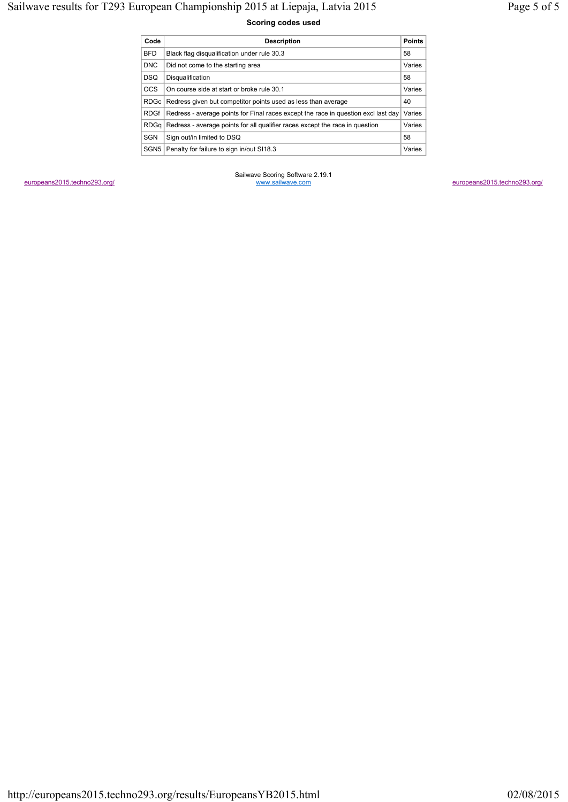#### **Scoring codes used**

| Code             | <b>Description</b>                                                                 | <b>Points</b> |
|------------------|------------------------------------------------------------------------------------|---------------|
| <b>BFD</b>       | Black flag disqualification under rule 30.3                                        | 58            |
| <b>DNC</b>       | Did not come to the starting area                                                  | Varies        |
| <b>DSQ</b>       | Disqualification                                                                   | 58            |
| <b>OCS</b>       | On course side at start or broke rule 30.1                                         | Varies        |
| RDG <sub>c</sub> | Redress given but competitor points used as less than average                      | 40            |
| <b>RDGf</b>      | Redress - average points for Final races except the race in question excl last day | Varies        |
| RDGa             | Redress - average points for all qualifier races except the race in question       | Varies        |
| SGN              | Sign out/in limited to DSQ                                                         | 58            |
| SGN <sub>5</sub> | Penalty for failure to sign in/out SI18.3                                          | Varies        |

europeans2015.techno293.org/ europeans2015.techno293.org/ Sailwave Scoring Software 2.19.1 www.sailwave.com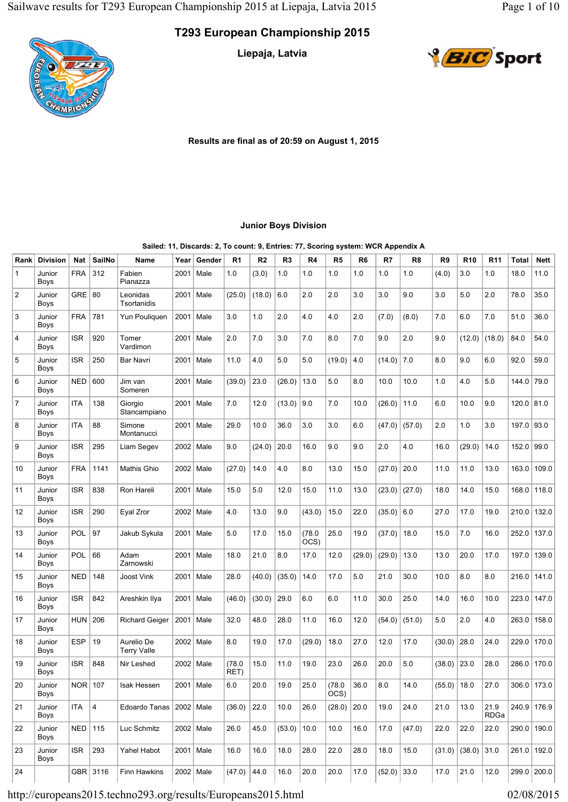**T293 European Championship 2015**

**Liepaja, Latvia**



**BiC** Sport

**Results are final as of 20:59 on August 1, 2015**

#### **Junior Boys Division**

**Sailed: 11, Discards: 2, To count: 9, Entries: 77, Scoring system: WCR Appendix A**

| Rank           | <b>Division</b> | Nat         | <b>SailNo</b> | Name                             | Year | Gender      | R <sub>1</sub> | R <sub>2</sub> | R <sub>3</sub> | R <sub>4</sub> | R <sub>5</sub> | R <sub>6</sub> | R7            | R <sub>8</sub> | R9              | <b>R10</b>             | R <sub>11</sub> | Total      | <b>Nett</b>   |
|----------------|-----------------|-------------|---------------|----------------------------------|------|-------------|----------------|----------------|----------------|----------------|----------------|----------------|---------------|----------------|-----------------|------------------------|-----------------|------------|---------------|
| 1              | Junior<br>Boys  | <b>FRA</b>  | 312           | Fabien<br>Pianazza               | 2001 | Male        | 1.0            | (3.0)          | 1.0            | 1.0            | 1.0            | 1.0            | 1.0           | 1.0            | (4.0)           | 3.0                    | 1.0             | 18.0       | 11.0          |
| $\overline{2}$ | Junior<br>Boys  | GRE   80    |               | Leonidas<br>Tsortanidis          | 2001 | Male        | (25.0)         | (18.0)         | 6.0            | 2.0            | 2.0            | 3.0            | 3.0           | 9.0            | 3.0             | 5.0                    | 2.0             | 78.0       | 35.0          |
| 3              | Junior<br>Boys  | <b>FRA</b>  | 781           | Yun Pouliquen                    | 2001 | Male        | 3.0            | 1.0            | 2.0            | 4.0            | 4.0            | 2.0            | (7.0)         | (8.0)          | 7.0             | 6.0                    | 7.0             | 51.0       | 36.0          |
| $\overline{4}$ | Junior<br>Boys  | <b>ISR</b>  | 920           | Tomer<br>Vardimon                | 2001 | Male        | 2.0            | 7.0            | 3.0            | 7.0            | 8.0            | 7.0            | 9.0           | 2.0            | 9.0             | (12.0)                 | (18.0)          | 84.0       | 54.0          |
| 5              | Junior<br>Boys  | <b>ISR</b>  | 250           | Bar Navri                        | 2001 | Male        | 11.0           | 4.0            | 5.0            | 5.0            | (19.0)         | 4.0            | (14.0)        | 7.0            | 8.0             | 9.0                    | 6.0             | 92.0       | 59.0          |
| 6              | Junior<br>Boys  | <b>NED</b>  | 600           | Jim van<br>Someren               | 2001 | Male        | (39.0)         | 23.0           | (26.0)         | 13.0           | 5.0            | 8.0            | 10.0          | 10.0           | 1.0             | 4.0                    | 5.0             | 144.0      | 79.0          |
| $\overline{7}$ | Junior<br>Boys  | <b>ITA</b>  | 138           | Giorgio<br>Stancampiano          | 2001 | Male        | 7.0            | 12.0           | (13.0)         | 9.0            | 7.0            | 10.0           | (26.0)        | 11.0           | 6.0             | 10.0                   | 9.0             | 120.0 81.0 |               |
| 8              | Junior<br>Boys  | ITA         | 88            | Simone<br>Montanucci             | 2001 | Male        | 29.0           | 10.0           | 36.0           | 3.0            | 3.0            | 6.0            | (47.0)        | (57.0)         | 2.0             | 1.0                    | 3.0             | 197.0      | 93.0          |
| 9              | Junior<br>Boys  | ISR.        | 295           | Liam Segev                       | 2002 | Male        | 9.0            | (24.0)         | 20.0           | 16.0           | 9.0            | 9.0            | 2.0           | 4.0            | 16.0            | (29.0)                 | 14.0            | 152.0 99.0 |               |
| 10             | Junior<br>Boys  | <b>FRA</b>  | 1141          | <b>Mathis Ghio</b>               | 2002 | Male        | (27.0)         | 14.0           | 4.0            | 8.0            | 13.0           | 15.0           | (27.0)        | 20.0           | 11.0            | 11.0                   | 13.0            | 163.0      | 109.0         |
| 11             | Junior<br>Boys  | <b>ISR</b>  | 838           | Ron Hareli                       | 2001 | Male        | 15.0           | 5.0            | 12.0           | 15.0           | 11.0           | 13.0           | (23.0)        | (27.0)         | 18.0            | 14.0                   | 15.0            | 168.0      | 118.0         |
| 12             | Junior<br>Boys  | <b>ISR</b>  | 290           | Eyal Zror                        | 2002 | Male        | 4.0            | 13.0           | 9.0            | (43.0)         | 15.0           | 22.0           | (35.0)        | 6.0            | 27.0            | 17.0                   | 19.0            |            | 210.0 132.0   |
| 13             | Junior<br>Boys  | POL         | 97            | Jakub Sykula                     | 2001 | Male        | 5.0            | 17.0           | 15.0           | (78.0)<br>OCS) | 25.0           | 19.0           | (37.0)        | 18.0           | 15.0            | 7.0                    | 16.0            | 252.0      | 137.0         |
| 14             | Junior<br>Boys  | POL         | 66            | Adam<br>Zarnowski                | 2001 | Male        | 18.0           | 21.0           | 8.0            | 17.0           | 12.0           | (29.0)         | (29.0)        | 13.0           | 13.0            | 20.0                   | 17.0            | 197.0      | 139.0         |
| 15             | Junior<br>Boys  | <b>NED</b>  | 148           | Joost Vink                       | 2001 | Male        | 28.0           | (40.0)         | (35.0)         | 14.0           | 17.0           | 5.0            | 21.0          | 30.0           | 10.0            | 8.0                    | 8.0             | 216.0      | 141.0         |
| 16             | Junior<br>Boys  | <b>ISR</b>  | 842           | Areshkin Ilya                    | 2001 | Male        | (46.0)         | (30.0)         | 29.0           | 6.0            | 6.0            | 11.0           | 30.0          | 25.0           | 14.0            | 16.0                   | 10.0            | 223.0      | 147.0         |
| 17             | Junior<br>Boys  | <b>HUN</b>  | 206           | <b>Richard Geiger</b>            | 2001 | Male        | 32.0           | 48.0           | 28.0           | 11.0           | 16.0           | 12.0           | (54.0)        | (51.0)         | 5.0             | 2.0                    | 4.0             | 263.0      | 158.0         |
| 18             | Junior<br>Boys  | <b>ESP</b>  | 19            | Aurelio De<br><b>Terry Valle</b> | 2002 | Male        | 8.0            | 19.0           | 17.0           | (29.0)         | 18.0           | 27.0           | 12.0          | 17.0           | (30.0)          | 28.0                   | 24.0            | 229.0      | 170.0         |
| 19             | Junior<br>Boys  | <b>ISR</b>  | 848           | Nir Leshed                       |      | 2002   Male | (78.0)<br>RET) | 15.0           | 11.0           | 19.0           | 23.0           | 26.0           | 20.0          | 5.0            | (38.0)          | 23.0                   | 28.0            | 286.0      | 170.0         |
| 20             | Junior<br>Boys  | $NOR$ 107   |               | Isak Hessen                      |      | 2001   Male | 6.0            | 20.0           | 19.0           | 25.0           | (78.0)<br>OCS) | 36.0           | 8.0           | 14.0           | $(55.0)$   18.0 |                        | 27.0            |            | $306.0$ 173.0 |
| 21             | Junior<br>Boys  | <b>ITA</b>  | $\vert$ 4     | Edoardo Tanas                    |      | $2002$ Male | (36.0)         | 22.0           | 10.0           | 26.0           | (28.0)         | 20.0           | 19.0          | 24.0           | 21.0            | 13.0                   | 21.9<br>RDGa    |            | 240.9 176.9   |
| 22             | Junior<br>Boys  | $NED$   115 |               | Luc Schmitz                      |      | 2002   Male | 26.0           | 45.0           | (53.0)         | 10.0           | 10.0           | 16.0           | 17.0          | (47.0)         | 22.0            | 22.0                   | 22.0            |            | 290.0 190.0   |
| 23             | Junior<br>Boys  | ISR.        | 293           | Yahel Habot                      |      | $2001$ Male | 16.0           | 16.0           | 18.0           | 28.0           | 22.0           | 28.0           | 18.0          | 15.0           |                 | $(31.0)$ $(38.0)$ 31.0 |                 |            | 261.0 192.0   |
| 24             |                 |             | GBR 3116      | Finn Hawkins                     |      | 2002   Male | (47.0)         | 44.0           | 16.0           | 20.0           | 20.0           | 17.0           | $(52.0)$ 33.0 |                | 17.0            | 21.0                   | 12.0            |            | 299.0 200.0   |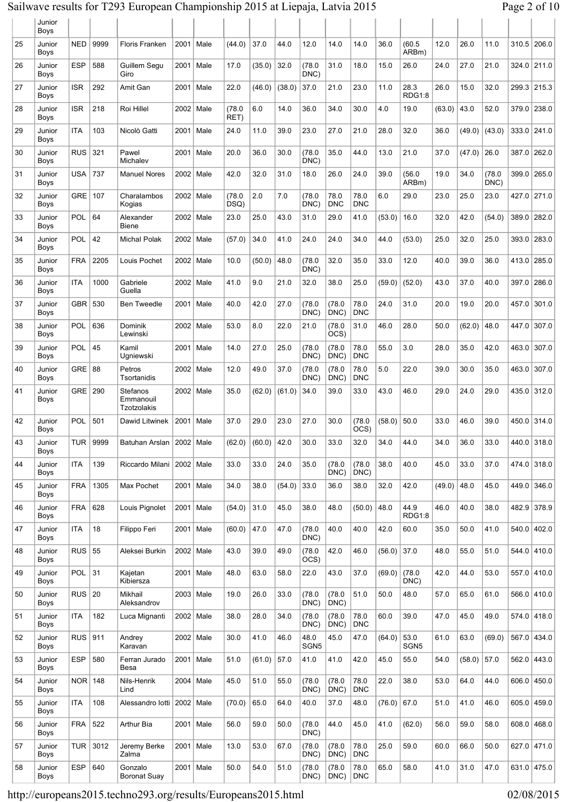# Sailwave results for T293 European Championship 2015 at Liepaja, Latvia 2015 Page 2 of 10

|    | Junior<br>Boys        |            |          |                                             |             |             |                |                        |        |                          |                    |                    |        |                          |        |        |                |       |               |
|----|-----------------------|------------|----------|---------------------------------------------|-------------|-------------|----------------|------------------------|--------|--------------------------|--------------------|--------------------|--------|--------------------------|--------|--------|----------------|-------|---------------|
| 25 | Junior<br><b>Boys</b> | <b>NED</b> | 9999     | <b>Floris Franken</b>                       | 2001        | Male        | (44.0)         | 37.0                   | 44.0   | 12.0                     | 14.0               | 14.0               | 36.0   | (60.5)<br>ARBm)          | 12.0   | 26.0   | 11.0           | 310.5 | 206.0         |
| 26 | Junior<br>Boys        | <b>ESP</b> | 588      | Guillem Segu<br>Giro                        | 2001        | Male        | 17.0           | (35.0)                 | 32.0   | (78.0)<br>DNC)           | 31.0               | 18.0               | 15.0   | 26.0                     | 24.0   | 27.0   | 21.0           | 324.0 | 211.0         |
| 27 | Junior<br><b>Boys</b> | <b>ISR</b> | 292      | Amit Gan                                    | 2001        | Male        | 22.0           | (46.0)                 | (38.0) | 37.0                     | 21.0               | 23.0               | 11.0   | 28.3<br><b>RDG1:8</b>    | 26.0   | 15.0   | 32.0           | 299.3 | 215.3         |
| 28 | Junior<br><b>Boys</b> | <b>ISR</b> | 218      | Roi Hillel                                  | 2002        | Male        | (78.0<br>RET)  | 6.0                    | 14.0   | 36.0                     | 34.0               | 30.0               | 4.0    | 19.0                     | (63.0) | 43.0   | 52.0           | 379.0 | 238.0         |
| 29 | Junior<br><b>Boys</b> | <b>ITA</b> | 103      | Nicolò Gatti                                | 2001        | Male        | 24.0           | 11.0                   | 39.0   | 23.0                     | 27.0               | 21.0               | 28.0   | 32.0                     | 36.0   | (49.0) | (43.0)         | 333.0 | 241.0         |
| 30 | Junior<br><b>Boys</b> | <b>RUS</b> | 321      | Pawel<br>Michalev                           | 2001        | Male        | 20.0           | 36.0                   | 30.0   | (78.0)<br>DNC)           | 35.0               | 44.0               | 13.0   | 21.0                     | 37.0   | (47.0) | 26.0           | 387.0 | 262.0         |
| 31 | Junior<br><b>Boys</b> | <b>USA</b> | 737      | <b>Manuel Nores</b>                         | 2002        | Male        | 42.0           | 32.0                   | 31.0   | 18.0                     | 26.0               | 24.0               | 39.0   | (56.0)<br>ARBm)          | 19.0   | 34.0   | (78.0)<br>DNC) | 399.0 | 265.0         |
| 32 | Junior<br><b>Boys</b> | <b>GRE</b> | 107      | Charalambos<br>Kogias                       | 2002        | Male        | (78.0)<br>DSQ) | 2.0                    | 7.0    | (78.0)<br>DNC)           | 78.0<br><b>DNC</b> | 78.0<br><b>DNC</b> | 6.0    | 29.0                     | 23.0   | 25.0   | 23.0           | 427.0 | 271.0         |
| 33 | Junior<br><b>Boys</b> | POL        | 64       | Alexander<br><b>Biene</b>                   | 2002        | Male        | 23.0           | 25.0                   | 43.0   | 31.0                     | 29.0               | 41.0               | (53.0) | 16.0                     | 32.0   | 42.0   | (54.0)         | 389.0 | 282.0         |
| 34 | Junior<br><b>Boys</b> | <b>POL</b> | 42       | <b>Michal Polak</b>                         | 2002        | Male        | (57.0)         | 34.0                   | 41.0   | 24.0                     | 24.0               | 34.0               | 44.0   | (53.0)                   | 25.0   | 32.0   | 25.0           | 393.0 | 283.0         |
| 35 | Junior<br><b>Boys</b> | <b>FRA</b> | 2205     | Louis Pochet                                | 2002        | Male        | 10.0           | (50.0)                 | 48.0   | (78.0)<br>DNC)           | 32.0               | 35.0               | 33.0   | 12.0                     | 40.0   | 39.0   | 36.0           | 413.0 | 285.0         |
| 36 | Junior<br><b>Boys</b> | ITA        | 1000     | Gabriele<br>Guella                          | 2002        | Male        | 41.0           | 9.0                    | 21.0   | 32.0                     | 38.0               | 25.0               | (59.0) | (52.0)                   | 43.0   | 37.0   | 40.0           | 397.0 | 286.0         |
| 37 | Junior<br><b>Boys</b> | <b>GBR</b> | 530      | <b>Ben Tweedle</b>                          | 2001        | Male        | 40.0           | 42.0                   | 27.0   | (78.0)<br>DNC)           | (78.0)<br>DNC)     | 78.0<br><b>DNC</b> | 24.0   | 31.0                     | 20.0   | 19.0   | 20.0           | 457.0 | 301.0         |
| 38 | Junior<br><b>Boys</b> | POL        | 636      | Dominik<br>Lewinski                         | 2002        | Male        | 53.0           | 8.0                    | 22.0   | 21.0                     | (78.0<br>OCS)      | 31.0               | 46.0   | 28.0                     | 50.0   | (62.0) | 48.0           | 447.0 | 307.0         |
| 39 | Junior<br><b>Boys</b> | POL        | 45       | Kamil<br>Ugniewski                          | 2001        | Male        | 14.0           | 27.0                   | 25.0   | (78.0)<br>DNC)           | (78.0<br>DNC)      | 78.0<br><b>DNC</b> | 55.0   | 3.0                      | 28.0   | 35.0   | 42.0           | 463.0 | 307.0         |
| 40 | Junior<br><b>Boys</b> | GRE        | 88       | Petros<br>Tsortanidis                       | 2002        | Male        | 12.0           | 49.0                   | 37.0   | (78.0)<br>DNC)           | (78.0<br>DNC)      | 78.0<br><b>DNC</b> | 5.0    | 22.0                     | 39.0   | 30.0   | 35.0           | 463.0 | 307.0         |
| 41 | Junior<br>Boys        | GRE        | 290      | <b>Stefanos</b><br>Emmanouil<br>Tzotzolakis | 2002        | Male        | 35.0           | (62.0)                 | (61.0) | 34.0                     | 39.0               | 33.0               | 43.0   | 46.0                     | 29.0   | 24.0   | 29.0           | 435.0 | 312.0         |
| 42 | Junior<br><b>Boys</b> | <b>POL</b> | 501      | Dawid Litwinek                              | 2001        | Male        | 37.0           | 29.0                   | 23.0   | 27.0                     | 30.0               | (78.0)<br>OCS)     | (58.0) | 50.0                     | 33.0   | 46.0   | 39.0           | 450.0 | 314.0         |
| 43 | Junior<br>Boys        |            | TUR 9999 | Batuhan Arslan 2002 Male                    |             |             |                | $(62.0)$ $(60.0)$ 42.0 |        | 30.0                     | 33.0               | 32.0               | 34.0   | 44.0                     | 34.0   | 36.0   | 33.0           | 440.0 | 318.0         |
| 44 | Junior<br><b>Boys</b> | ITA        | 139      | Riccardo Milani                             | 2002   Male |             | 33.0           | 33.0                   | 24.0   | 35.0                     | (78.0)<br>DNC)     | (78.0)<br>DNC)     | 38.0   | 40.0                     | 45.0   | 33.0   | 37.0           |       | 474.0 318.0   |
| 45 | Junior<br><b>Boys</b> | <b>FRA</b> | 1305     | Max Pochet                                  | 2001        | Male        | 34.0           | 38.0                   | (54.0) | 33.0                     | 36.0               | 38.0               | 32.0   | 42.0                     | (49.0) | 48.0   | 45.0           |       | 449.0 346.0   |
| 46 | Junior<br><b>Boys</b> | <b>FRA</b> | 628      | Louis Pignolet                              | 2001        | Male        | (54.0)         | 31.0                   | 45.0   | 38.0                     | 48.0               | (50.0)             | 48.0   | 44.9<br><b>RDG1:8</b>    | 46.0   | 40.0   | 38.0           |       | 482.9 378.9   |
| 47 | Junior<br>Boys        | ITA        | 18       | Filippo Feri                                | 2001        | Male        | (60.0)         | 47.0                   | 47.0   | (78.0)<br>DNC)           | 40.0               | 40.0               | 42.0   | 60.0                     | 35.0   | 50.0   | 41.0           |       | 540.0 402.0   |
| 48 | Junior<br><b>Boys</b> | $RUS$ 55   |          | Aleksei Burkin                              | 2002        | Male        | 43.0           | 39.0                   | 49.0   | (78.0)<br>OCS)           | 42.0               | 46.0               | (56.0) | 37.0                     | 48.0   | 55.0   | 51.0           |       | 544.0 410.0   |
| 49 | Junior<br>Boys        | POL        | 31       | Kajetan<br>Kibiersza                        | 2001        | Male        | 48.0           | 63.0                   | 58.0   | 22.0                     | 43.0               | 37.0               | (69.0) | (78.0)<br>DNC)           | 42.0   | 44.0   | 53.0           |       | 557.0 410.0   |
| 50 | Junior<br>Boys        | $RUS$ 20   |          | Mikhail<br>Aleksandrov                      |             | $2003$ Male | 19.0           | 26.0                   | 33.0   | (78.0)<br>DNC)           | (78.0)<br>DNC)     | 51.0               | 50.0   | 48.0                     | 57.0   | 65.0   | 61.0           |       | 566.0 410.0   |
| 51 | Junior<br>Boys        | ITA        | 182      | Luca Mignanti                               | 2002        | Male        | 38.0           | 28.0                   | 34.0   | (78.0)<br>DNC)           | (78.0<br>DNC)      | 78.0<br><b>DNC</b> | 60.0   | 39.0                     | 47.0   | 45.0   | 49.0           |       | 574.0 418.0   |
| 52 | Junior<br><b>Boys</b> | RUS        | 911      | Andrey<br>Karavan                           |             | 2002   Male | 30.0           | 41.0                   | 46.0   | 48.0<br>SGN <sub>5</sub> | 45.0               | 47.0               | (64.0) | 53.0<br>SGN <sub>5</sub> | 61.0   | 63.0   | (69.0)         |       | 567.0 434.0   |
| 53 | Junior<br><b>Boys</b> | <b>ESP</b> | 580      | Ferran Jurado<br>Besa                       | 2001        | Male        | 51.0           | (61.0)                 | 57.0   | 41.0                     | 41.0               | 42.0               | 45.0   | 55.0                     | 54.0   | (58.0) | 57.0           |       | 562.0 443.0   |
| 54 | Junior<br>Boys        | NOR        | 148      | Nils-Henrik<br>Lind                         | 2004        | Male        | 45.0           | 51.0                   | 55.0   | (78.0)<br>DNC)           | (78.0)<br>DNC)     | 78.0<br><b>DNC</b> | 22.0   | 38.0                     | 53.0   | 64.0   | 44.0           |       | 606.0 450.0   |
| 55 | Junior<br>Boys        | ITA        | 108      | Alessandro lotti   2002                     |             | Male        | (70.0)         | 65.0                   | 64.0   | 40.0                     | 37.0               | 48.0               | (76.0) | 67.0                     | 51.0   | 41.0   | 46.0           |       | 605.0 459.0   |
| 56 | Junior<br><b>Boys</b> | FRA        | 522      | Arthur Bia                                  | 2001        | Male        | 56.0           | 59.0                   | 50.0   | (78.0)<br>DNC)           | 44.0               | 45.0               | 41.0   | (62.0)                   | 56.0   | 59.0   | 58.0           |       | 608.0   468.0 |
| 57 | Junior<br><b>Boys</b> | TUR        | 3012     | Jeremy Berke<br>Zalma                       | 2001        | Male        | 13.0           | 53.0                   | 67.0   | (78.0)<br>DNC)           | (78.0)<br>DNC)     | 78.0<br><b>DNC</b> | 25.0   | 59.0                     | 60.0   | 66.0   | 50.0           |       | 627.0 471.0   |
| 58 | Junior<br>Boys        | <b>ESP</b> | 640      | Gonzalo<br><b>Boronat Suay</b>              | 2001        | Male        | 50.0           | 54.0                   | 51.0   | (78.0)<br>DNC)           | (78.0)<br>DNC)     | 78.0<br> DNC       | 65.0   | 58.0                     | 41.0   | 31.0   | 47.0           |       | 631.0 475.0   |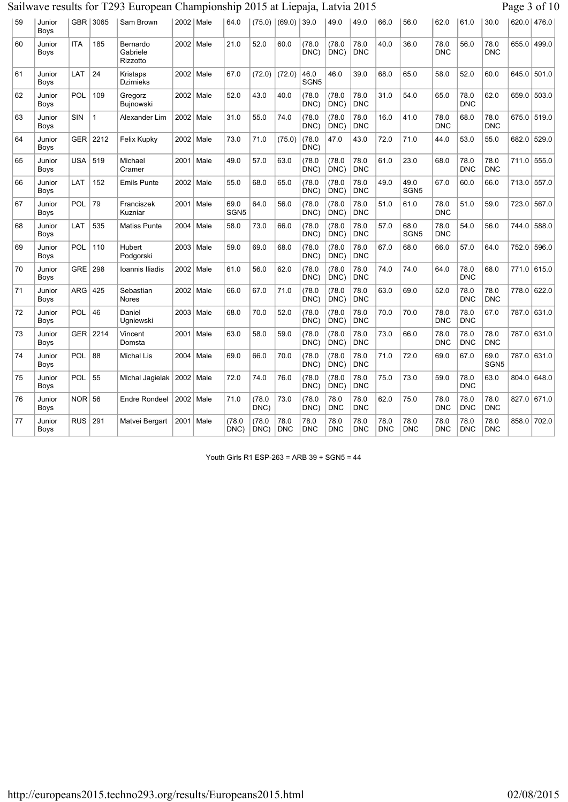# Sailwave results for T293 European Championship 2015 at Liepaja, Latvia 2015 Page 3 of 10

| 59 | Junior<br>Boys        |            | GBR 3065     | Sam Brown                        |      | 2002   Male | 64.0                     | (75.0)         | (69.0)             | 39.0                     | 49.0               | 49.0               | 66.0               | 56.0                     | 62.0               | 61.0               | 30.0                     |       | 620.0 476.0 |
|----|-----------------------|------------|--------------|----------------------------------|------|-------------|--------------------------|----------------|--------------------|--------------------------|--------------------|--------------------|--------------------|--------------------------|--------------------|--------------------|--------------------------|-------|-------------|
| 60 | Junior<br>Boys        | <b>ITA</b> | 185          | Bernardo<br>Gabriele<br>Rizzotto |      | 2002   Male | 21.0                     | 52.0           | 60.0               | (78.0)<br>DNC)           | (78.0)<br>DNC)     | 78.0<br><b>DNC</b> | 40.0               | 36.0                     | 78.0<br><b>DNC</b> | 56.0               | 78.0<br><b>DNC</b>       | 655.0 | 499.0       |
| 61 | Junior<br>Boys        | LAT        | 24           | Kristaps<br><b>Dzirnieks</b>     |      | 2002   Male | 67.0                     | (72.0)         | (72.0)             | 46.0<br>SGN <sub>5</sub> | 46.0               | 39.0               | 68.0               | 65.0                     | 58.0               | 52.0               | 60.0                     | 645.0 | 501.0       |
| 62 | Junior<br>Boys        | <b>POL</b> | 109          | Gregorz<br><b>Buinowski</b>      |      | 2002   Male | 52.0                     | 43.0           | 40.0               | (78.0)<br>DNC)           | (78.0)<br>DNC)     | 78.0<br><b>DNC</b> | 31.0               | 54.0                     | 65.0               | 78.0<br><b>DNC</b> | 62.0                     | 659.0 | 503.0       |
| 63 | Junior<br><b>Boys</b> | SIN        | $\mathbf{1}$ | Alexander Lim                    |      | 2002   Male | 31.0                     | 55.0           | 74.0               | (78.0)<br>DNC)           | (78.0)<br>DNC)     | 78.0<br><b>DNC</b> | 16.0               | 41.0                     | 78.0<br><b>DNC</b> | 68.0               | 78.0<br><b>DNC</b>       |       | 675.0 519.0 |
| 64 | Junior<br>Boys        |            | GER 2212     | Felix Kupky                      |      | 2002   Male | 73.0                     | 71.0           | (75.0)             | (78.0)<br>DNC)           | 47.0               | 43.0               | 72.0               | 71.0                     | 44.0               | 53.0               | 55.0                     | 682.0 | 529.0       |
| 65 | Junior<br>Boys        | <b>USA</b> | 519          | Michael<br>Cramer                | 2001 | Male        | 49.0                     | 57.0           | 63.0               | (78.0)<br>DNC)           | (78.0)<br>DNC)     | 78.0<br><b>DNC</b> | 61.0               | 23.0                     | 68.0               | 78.0<br><b>DNC</b> | 78.0<br><b>DNC</b>       |       | 711.0 555.0 |
| 66 | Junior<br>Boys        | LAT        | 152          | Emils Punte                      | 2002 | Male        | 55.0                     | 68.0           | 65.0               | (78.0)<br>DNC)           | (78.0)<br>DNC)     | 78.0<br><b>DNC</b> | 49.0               | 49.0<br>SGN <sub>5</sub> | 67.0               | 60.0               | 66.0                     |       | 713.0 557.0 |
| 67 | Junior<br>Boys        | <b>POL</b> | 79           | Franciszek<br>Kuzniar            | 2001 | Male        | 69.0<br>SGN <sub>5</sub> | 64.0           | 56.0               | (78.0)<br>DNC)           | (78.0)<br>DNC)     | 78.0<br><b>DNC</b> | 51.0               | 61.0                     | 78.0<br><b>DNC</b> | 51.0               | 59.0                     | 723.0 | 567.0       |
| 68 | Junior<br><b>Boys</b> | LAT        | 535          | <b>Matiss Punte</b>              | 2004 | Male        | 58.0                     | 73.0           | 66.0               | (78.0)<br>DNC)           | (78.0)<br>DNC)     | 78.0<br><b>DNC</b> | 57.0               | 68.0<br>SGN <sub>5</sub> | 78.0<br><b>DNC</b> | 54.0               | 56.0                     | 744.0 | 588.0       |
| 69 | Junior<br>Boys        | POL        | 110          | Hubert<br>Podgorski              |      | 2003   Male | 59.0                     | 69.0           | 68.0               | (78.0)<br>DNC)           | (78.0)<br>DNC)     | 78.0<br><b>DNC</b> | 67.0               | 68.0                     | 66.0               | 57.0               | 64.0                     | 752.0 | 596.0       |
| 70 | Junior<br>Boys        | <b>GRE</b> | 298          | Ioannis Iliadis                  | 2002 | Male        | 61.0                     | 56.0           | 62.0               | (78.0)<br>DNC)           | (78.0<br>DNC)      | 78.0<br><b>DNC</b> | 74.0               | 74.0                     | 64.0               | 78.0<br><b>DNC</b> | 68.0                     | 771.0 | 615.0       |
| 71 | Junior<br>Boys        | <b>ARG</b> | 425          | Sebastian<br><b>Nores</b>        | 2002 | Male        | 66.0                     | 67.0           | 71.0               | (78.0)<br>DNC)           | (78.0)<br>DNC)     | 78.0<br><b>DNC</b> | 63.0               | 69.0                     | 52.0               | 78.0<br><b>DNC</b> | 78.0<br><b>DNC</b>       |       | 778.0 622.0 |
| 72 | Junior<br>Boys        | POL        | 46           | Daniel<br>Ugniewski              | 2003 | Male        | 68.0                     | 70.0           | 52.0               | (78.0)<br>DNC)           | (78.0<br>DNC)      | 78.0<br><b>DNC</b> | 70.0               | 70.0                     | 78.0<br><b>DNC</b> | 78.0<br><b>DNC</b> | 67.0                     | 787.0 | 631.0       |
| 73 | Junior<br>Boys        |            | GER 2214     | Vincent<br>Domsta                | 2001 | Male        | 63.0                     | 58.0           | 59.0               | (78.0)<br>DNC)           | (78.0)<br>DNC)     | 78.0<br><b>DNC</b> | 73.0               | 66.0                     | 78.0<br><b>DNC</b> | 78.0<br><b>DNC</b> | 78.0<br><b>DNC</b>       |       | 787.0 631.0 |
| 74 | Junior<br>Boys        | <b>POL</b> | 88           | <b>Michal Lis</b>                | 2004 | Male        | 69.0                     | 66.0           | 70.0               | (78.0)<br>DNC)           | (78.0<br>DNC)      | 78.0<br><b>DNC</b> | 71.0               | 72.0                     | 69.0               | 67.0               | 69.0<br>SGN <sub>5</sub> |       | 787.0 631.0 |
| 75 | Junior<br>Boys        | <b>POL</b> | 55           | Michal Jagielak                  | 2002 | Male        | 72.0                     | 74.0           | 76.0               | (78.0)<br>DNC)           | (78.0)<br>DNC)     | 78.0<br><b>DNC</b> | 75.0               | 73.0                     | 59.0               | 78.0<br><b>DNC</b> | 63.0                     | 804.0 | 648.0       |
| 76 | Junior<br>Boys        | $NOR$ 56   |              | <b>Endre Rondeel</b>             | 2002 | Male        | 71.0                     | (78.0)<br>DNC) | 73.0               | (78.0)<br>DNC)           | 78.0<br><b>DNC</b> | 78.0<br><b>DNC</b> | 62.0               | 75.0                     | 78.0<br><b>DNC</b> | 78.0<br><b>DNC</b> | 78.0<br><b>DNC</b>       |       | 827.0 671.0 |
| 77 | Junior<br>Boys        | <b>RUS</b> | 291          | Matvei Bergart                   | 2001 | Male        | (78.0<br>DNC)            | (78.0<br>DNC)  | 78.0<br><b>DNC</b> | 78.0<br><b>DNC</b>       | 78.0<br><b>DNC</b> | 78.0<br><b>DNC</b> | 78.0<br><b>DNC</b> | 78.0<br><b>DNC</b>       | 78.0<br><b>DNC</b> | 78.0<br><b>DNC</b> | 78.0<br><b>DNC</b>       | 858.0 | 702.0       |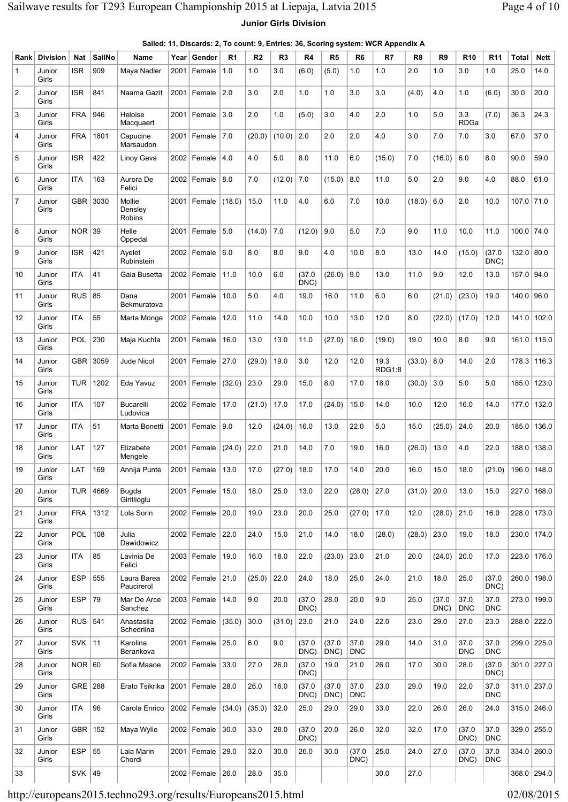### **Junior Girls Division**

| Sailed: 11, Discards: 2, To count: 9, Entries: 36, Scoring system: WCR Appendix A |  |  |  |
|-----------------------------------------------------------------------------------|--|--|--|
|                                                                                   |  |  |  |

| Rank           | <b>Division</b> | Nat        | SailNo | <b>Name</b>                  | Year | Gender             | R <sub>1</sub> | R <sub>2</sub> | R3     | R4             | R <sub>5</sub> | R <sub>6</sub>     | R7                    | R8     | R <sub>9</sub> | <b>R10</b>         | R <sub>11</sub>    | <b>Total</b> | <b>Nett</b> |
|----------------|-----------------|------------|--------|------------------------------|------|--------------------|----------------|----------------|--------|----------------|----------------|--------------------|-----------------------|--------|----------------|--------------------|--------------------|--------------|-------------|
| 1              | Junior<br>Girls | <b>ISR</b> | 909    | Maya Nadler                  | 2001 | Female             | 1.0            | 1.0            | 3.0    | (6.0)          | (5.0)          | 1.0                | 1.0                   | 2.0    | 1.0            | 3.0                | 1.0                | 25.0         | 14.0        |
| 2              | Junior<br>Girls | <b>ISR</b> | 841    | Naama Gazit                  | 2001 | Female             | 2.0            | 3.0            | 2.0    | 1.0            | 1.0            | 3.0                | 3.0                   | (4.0)  | 4.0            | 1.0                | (6.0)              | 30.0         | 20.0        |
| 3              | Junior<br>Girls | <b>FRA</b> | 946    | Heloise<br>Macquaert         | 2001 | Female             | 3.0            | 2.0            | 1.0    | (5.0)          | 3.0            | 4.0                | 2.0                   | 1.0    | 5.0            | 3.3<br><b>RDGa</b> | (7.0)              | 36.3         | 24.3        |
| 4              | Junior<br>Girls | <b>FRA</b> | 1801   | Capucine<br>Marsaudon        | 2001 | Female             | 7.0            | (20.0)         | (10.0) | 2.0            | 2.0            | 2.0                | 4.0                   | 3.0    | 7.0            | 7.0                | 3.0                | 67.0         | 37.0        |
| 5              | Junior<br>Girls | <b>ISR</b> | 422    | Linoy Geva                   | 2002 | Female             | 4.0            | 4.0            | 5.0    | 8.0            | 11.0           | 6.0                | (15.0)                | 7.0    | (16.0)         | 6.0                | 8.0                | 90.0         | 59.0        |
| 6              | Junior<br>Girls | <b>ITA</b> | 163    | Aurora De<br>Felici          | 2002 | Female             | 8.0            | 7.0            | (12.0) | 7.0            | (15.0)         | 8.0                | 11.0                  | 5.0    | 2.0            | 9.0                | 4.0                | 88.0         | 61.0        |
| $\overline{7}$ | Junior<br>Girls | <b>GBR</b> | 3030   | Mollie<br>Densley<br>Robins  | 2001 | Female             | (18.0)         | 15.0           | 11.0   | 4.0            | 6.0            | 7.0                | 10.0                  | (18.0) | 6.0            | 2.0                | 10.0               | 107.0        | 71.0        |
| 8              | Junior<br>Girls | $NOR$ 39   |        | Helle<br>Oppedal             | 2001 | Female             | 5.0            | (14.0)         | 7.0    | (12.0)         | 9.0            | 5.0                | 7.0                   | 9.0    | 11.0           | 10.0               | 11.0               | 100.0 74.0   |             |
| 9              | Junior<br>Girls | <b>ISR</b> | 421    | Ayelet<br>Rubinstein         |      | 2002   Female      | 6.0            | 8.0            | 8.0    | 9.0            | 4.0            | 10.0               | 8.0                   | 13.0   | 14.0           | (15.0)             | (37.0)<br>DNC)     | $132.0$ 80.0 |             |
| 10             | Junior<br>Girls | <b>ITA</b> | 41     | Gaia Busetta                 |      | 2002 Female        | 11.0           | 10.0           | 6.0    | (37.0)<br>DNC) | (26.0)         | 9.0                | 13.0                  | 11.0   | 9.0            | 12.0               | 13.0               | 157.0        | 94.0        |
| 11             | Junior<br>Girls | <b>RUS</b> | 85     | Dana<br>Bekmuratova          | 2001 | Female             | 10.0           | 5.0            | 4.0    | 19.0           | 16.0           | 11.0               | 6.0                   | 6.0    | (21.0)         | (23.0)             | 19.0               | 140.0        | 96.0        |
| 12             | Junior<br>Girls | <b>ITA</b> | 55     | Marta Monge                  | 2002 | Female             | 12.0           | 11.0           | 14.0   | 10.0           | 10.0           | 13.0               | 12.0                  | 8.0    | (22.0)         | (17.0)             | 12.0               | 141.0        | 102.0       |
| 13             | Junior<br>Girls | POL        | 230    | Maja Kuchta                  | 2001 | Female             | 16.0           | 13.0           | 13.0   | 11.0           | (27.0)         | 16.0               | (19.0)                | 19.0   | 10.0           | 8.0                | 9.0                | 161.0        | 115.0       |
| 14             | Junior<br>Girls | <b>GBR</b> | 3059   | Jude Nicol                   | 2001 | Female             | 27.0           | (29.0)         | 19.0   | 3.0            | 12.0           | 12.0               | 19.3<br><b>RDG1:8</b> | (33.0) | 8.0            | 14.0               | 2.0                | 178.3        | 116.3       |
| 15             | Junior<br>Girls | <b>TUR</b> | 1202   | Eda Yavuz                    | 2001 | Female             | (32.0)         | 23.0           | 29.0   | 15.0           | 8.0            | 17.0               | 18.0                  | (30.0) | 3.0            | 5.0                | 5.0                | 185.0        | 123.0       |
| 16             | Junior<br>Girls | <b>ITA</b> | 107    | <b>Bucarelli</b><br>Ludovica | 2002 | Female             | 17.0           | (21.0)         | 17.0   | 17.0           | (24.0)         | 15.0               | 14.0                  | 10.0   | 12.0           | 16.0               | 14.0               | 177.0        | 132.0       |
| 17             | Junior<br>Girls | <b>ITA</b> | 51     | Marta Bonetti                | 2001 | Female             | 9.0            | 12.0           | (24.0) | 16.0           | 13.0           | 22.0               | 5.0                   | 15.0   | (25.0)         | 24.0               | 20.0               | 185.0        | 136.0       |
| 18             | Junior<br>Girls | LAT        | 127    | Elizabete<br>Mengele         | 2001 | Female             | (24.0)         | 22.0           | 21.0   | 14.0           | 7.0            | 19.0               | 16.0                  | (26.0) | 13.0           | 4.0                | 22.0               | 188.0        | 138.0       |
| 19             | Junior<br>Girls | LAT        | 169    | Annija Punte                 | 2001 | Female             | 13.0           | 17.0           | (27.0) | 18.0           | 17.0           | 14.0               | 20.0                  | 16.0   | 15.0           | 18.0               | (21.0)             | 196.0        | 148.0       |
| 20             | Junior<br>Girls | TUR        | 4669   | Bugda<br>Giritlioglu         | 2001 | Female             | 15.0           | 18.0           | 25.0   | 13.0           | 22.0           | (28.0)             | 27.0                  | (31.0) | 20.0           | 13.0               | 15.0               | 227.0        | 168.0       |
| 21             | Junior<br>Girls | <b>FRA</b> | 1312   | Lola Sorin                   |      | 2002 Female        | 20.0           | 19.0           | 23.0   | 20.0           | 25.0           | (27.0)             | 17.0                  | 12.0   | (28.0)         | 21.0               | 16.0               | 228.0        | 173.0       |
| 22             | Junior<br>Girls | POL        | 108    | Julia<br>Dawidowicz          |      | 2002 Female        | 22.0           | 24.0           | 15.0   | 21.0           | 14.0           | 18.0               | (28.0)                | (28.0) | 23.0           | 19.0               | 18.0               | 230.0 174.0  |             |
| 23             | Junior<br>Girls | <b>ITA</b> | 85     | Lavinia De<br>Felici         |      | 2003 Female        | 19.0           | 16.0           | 18.0   | 22.0           | (23.0)         | 23.0               | 21.0                  | 20.0   | (24.0)         | 20.0               | 17.0               | 223.0 176.0  |             |
| 24             | Junior<br>Girls | <b>ESP</b> | 555    | Laura Barea<br>Paucirerol    |      | 2002 Female        | 21.0           | (25.0)         | 22.0   | 24.0           | 18.0           | 25.0               | 24.0                  | 21.0   | 18.0           | 25.0               | (37.0)<br>DNC)     | 260.0        | 198.0       |
| 25             | Junior<br>Girls | <b>ESP</b> | 79     | Mar De Arce<br>Sanchez       |      | $2003$ Female      | 14.0           | 9.0            | 20.0   | (37.0)<br>DNC) | 28.0           | 20.0               | 9.0                   | 25.0   | (37.0)<br>DNC) | 37.0<br><b>DNC</b> | 37.0<br><b>DNC</b> | 273.0        | 199.0       |
| 26             | Junior<br>Girls | <b>RUS</b> | 541    | Anastasiia<br>Schedriina     |      | 2002 Female        | (35.0)         | 30.0           | (31.0) | 23.0           | 21.0           | 24.0               | 22.0                  | 23.0   | 29.0           | 27.0               | 23.0               |              | 288.0 222.0 |
| 27             | Junior<br>Girls | SVK $ 11$  |        | Karolina<br>Berankova        | 2001 | Female             | 25.0           | 6.0            | 9.0    | (37.0)<br>DNC) | (37.0)<br>DNC) | 37.0<br><b>DNC</b> | 29.0                  | 14.0   | 31.0           | 37.0<br><b>DNC</b> | 37.0<br><b>DNC</b> | 299.0        | 225.0       |
| 28             | Junior<br>Girls | NOR   60   |        | Sofia Maaoe                  |      | 2002 Female        | 33.0           | 27.0           | 26.0   | (37.0)<br>DNC) | 19.0           | 21.0               | 26.0                  | 17.0   | 30.0           | 28.0               | (37.0)<br>DNC)     | 301.0 227.0  |             |
| 29             | Junior<br>Girls | GRE        | 288    | Erato Tsikrika               |      | 2001   Female      | 28.0           | 26.0           | 16.0   | (37.0)<br>DNC) | (37.0)<br>DNC) | 37.0<br><b>DNC</b> | 23.0                  | 29.0   | 19.0           | 22.0               | 37.0<br><b>DNC</b> |              | 311.0 237.0 |
| 30             | Junior<br>Girls | <b>ITA</b> | 96     | Carola Enrico                |      | 2002 Female        | (34.0)         | (35.0)         | 32.0   | 25.0           | 29.0           | 29.0               | 33.0                  | 22.0   | 26.0           | 26.0               | 24.0               | 315.0 246.0  |             |
| 31             | Junior<br>Girls | GBR        | 152    | Maya Wylie                   |      | 2002   Female      | 30.0           | 33.0           | 28.0   | (37.0)<br>DNC) | 20.0           | 26.0               | 32.0                  | 32.0   | 17.0           | (37.0)<br>DNC)     | 37.0<br><b>DNC</b> | 329.0        | 255.0       |
| 32             | Junior<br>Girls | <b>ESP</b> | 55     | Laia Marin<br>Chordi         | 2001 | Female             | 29.0           | 32.0           | 30.0   | 26.0           | 30.0           | (37.0)<br>DNC)     | 25.0                  | 24.0   | 27.0           | (37.0)<br>DNC)     | 37.0<br><b>DNC</b> | 334.0        | 260.0       |
| 33             |                 | SVK        | 49     |                              |      | 2002 Female   26.0 |                | 28.0           | 35.0   |                |                |                    | 30.0                  | 27.0   |                |                    |                    |              | 368.0 294.0 |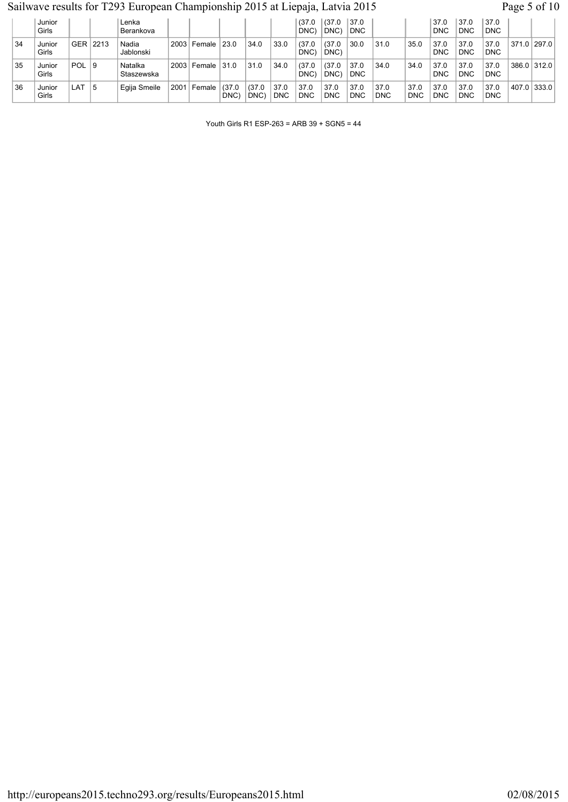# Sailwave results for T293 European Championship 2015 at Liepaja, Latvia 2015 Page 5 of 10

|    | Junior<br>Girls |            |          | Lenka<br>Berankova    |      |               |                |               |                    | (37.0<br>DNC) | (37.0)<br>DNC)     | 37.0<br><b>DNC</b> |                    |                    | 37.0<br>DNC | 37.0<br><b>DNC</b> | 37.0<br><b>DNC</b> |       |       |
|----|-----------------|------------|----------|-----------------------|------|---------------|----------------|---------------|--------------------|---------------|--------------------|--------------------|--------------------|--------------------|-------------|--------------------|--------------------|-------|-------|
| 34 | Junior<br>Girls |            | GER 2213 | Nadia<br>Jablonski    |      | $2003$ Female | 23.0           | 34.0          | 33.0               | (37.0<br>DNC) | (37.0)<br>DNC)     | 30.0               | 31.0               | 35.0               | 37.0<br>DNC | 37.0<br><b>DNC</b> | 37.0<br><b>DNC</b> | 371.0 | 297.0 |
| 35 | Junior<br>Girls | <b>POL</b> | - 19     | Natalka<br>Staszewska |      | $2003$ Female | 31.0           | 31.0          | 34.0               | (37.0<br>DNC) | (37.0)<br>DNC)     | 37.0<br><b>DNC</b> | 34.0               | 34.0               | 37.0<br>DNC | 37.0<br><b>DNC</b> | 37.0<br><b>DNC</b> | 386.0 | 312.0 |
| 36 | Junior<br>Girls | LAT        | 15       | Egija Smeile          | 2001 | Female        | (37.0)<br>DNC) | (37.0<br>DNC) | 37.0<br><b>DNC</b> | 37.0<br>DNC   | 37.0<br><b>DNC</b> | 37.0<br>DNC        | 37.0<br><b>DNC</b> | 37.0<br><b>DNC</b> | 37.0<br>DNC | 37.0<br>DNC        | 37.0<br><b>DNC</b> | 407.0 | 333.0 |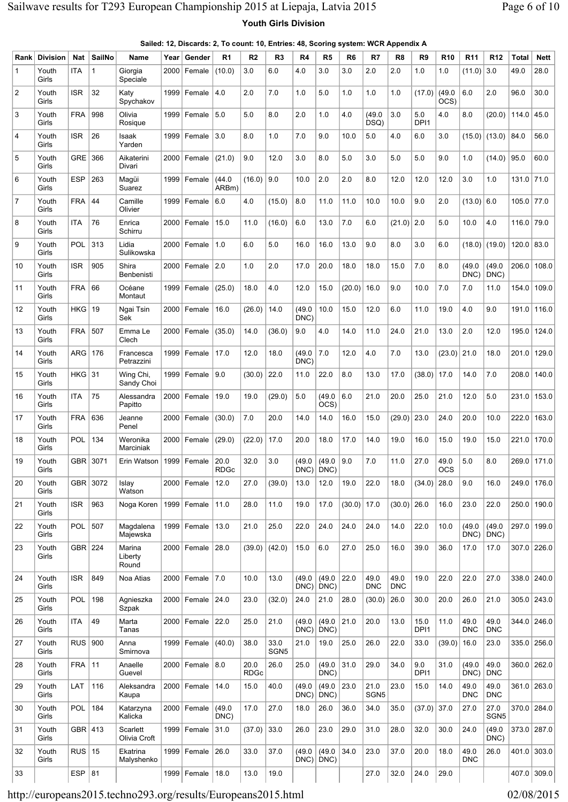## **Youth Girls Division**

|  |  |  | Sailed: 12, Discards: 2, To count: 10, Entries: 48, Scoring system: WCR Appendix A |
|--|--|--|------------------------------------------------------------------------------------|
|  |  |  |                                                                                    |

| Rank           | <b>Division</b> | Nat        | SailNo       | Name                       | Year | Gender              | R1                  | R <sub>2</sub>      | R <sub>3</sub>           | R4                | R <sub>5</sub>            | R <sub>6</sub> | R7                       | R <sub>8</sub>     | R9                      | <b>R10</b>         | R <sub>11</sub>    | R <sub>12</sub>          | Total         | <b>Nett</b> |
|----------------|-----------------|------------|--------------|----------------------------|------|---------------------|---------------------|---------------------|--------------------------|-------------------|---------------------------|----------------|--------------------------|--------------------|-------------------------|--------------------|--------------------|--------------------------|---------------|-------------|
| $\mathbf{1}$   | Youth<br>Girls  | <b>ITA</b> | $\mathbf{1}$ | Giorgia<br>Speciale        | 2000 | Female              | (10.0)              | 3.0                 | 6.0                      | 4.0               | 3.0                       | 3.0            | 2.0                      | 2.0                | 1.0                     | 1.0                | $(11.0)$ 3.0       |                          | 49.0          | 28.0        |
| 2              | Youth<br>Girls  | <b>ISR</b> | 32           | Katv<br>Spychakov          |      | 1999 Female         | 4.0                 | 2.0                 | 7.0                      | 1.0               | 5.0                       | 1.0            | 1.0                      | 1.0                | (17.0)                  | (49.0)<br>OCS)     | 6.0                | 2.0                      | 96.0          | 30.0        |
| 3              | Youth<br>Girls  | <b>FRA</b> | 998          | Olivia<br>Rosique          |      | 1999 Female         | 5.0                 | 5.0                 | 8.0                      | 2.0               | 1.0                       | 4.0            | (49.0)<br>DSQ)           | 3.0                | 5.0<br>DP <sub>11</sub> | 4.0                | 8.0                | (20.0)                   | 114.0         | 45.0        |
| $\overline{4}$ | Youth<br>Girls  | <b>ISR</b> | 26           | Isaak<br>Yarden            |      | 1999   Female       | 3.0                 | 8.0                 | 1.0                      | 7.0               | 9.0                       | 10.0           | 5.0                      | 4.0                | 6.0                     | 3.0                | (15.0)             | (13.0)                   | 84.0          | 56.0        |
| 5              | Youth<br>Girls  | <b>GRE</b> | 366          | Aikaterini<br>Divari       | 2000 | Female              | (21.0)              | 9.0                 | 12.0                     | 3.0               | 8.0                       | 5.0            | 3.0                      | 5.0                | 5.0                     | 9.0                | 1.0                | (14.0)                   | 95.0          | 60.0        |
| 6              | Youth<br>Girls  | <b>ESP</b> | 263          | Magüi<br>Suarez            | 1999 | Female              | (44.0)<br>ARBm)     | (16.0)              | 9.0                      | 10.0              | 2.0                       | 2.0            | 8.0                      | 12.0               | 12.0                    | 12.0               | 3.0                | 1.0                      | 131.0         | 71.0        |
| $\overline{7}$ | Youth<br>Girls  | <b>FRA</b> | 44           | Camille<br>Olivier         | 1999 | Female              | 6.0                 | 4.0                 | (15.0)                   | 8.0               | 11.0                      | 11.0           | 10.0                     | 10.0               | 9.0                     | 2.0                | (13.0)             | 6.0                      | $105.0$ 77.0  |             |
| 8              | Youth<br>Girls  | <b>ITA</b> | 76           | Enrica<br>Schirru          |      | 2000 Female         | 15.0                | 11.0                | (16.0)                   | 6.0               | 13.0                      | 7.0            | 6.0                      | $(21.0)$ 2.0       |                         | 5.0                | 10.0               | 4.0                      | 116.0         | 79.0        |
| 9              | Youth<br>Girls  | <b>POL</b> | 313          | Lidia<br>Sulikowska        |      | 2000 Female         | 1.0                 | 6.0                 | 5.0                      | 16.0              | 16.0                      | 13.0           | 9.0                      | 8.0                | 3.0                     | 6.0                | (18.0)             | (19.0)                   | 120.0         | 83.0        |
| 10             | Youth<br>Girls  | <b>ISR</b> | 905          | Shira<br>Benbenisti        |      | 2000 Female         | 2.0                 | 1.0                 | 2.0                      | 17.0              | 20.0                      | 18.0           | 18.0                     | 15.0               | 7.0                     | 8.0                | (49.0)<br>DNC)     | (49.0)<br>DNC)           | 206.0         | 108.0       |
| 11             | Youth<br>Girls  | <b>FRA</b> | 66           | Océane<br>Montaut          |      | 1999 Female         | (25.0)              | 18.0                | 4.0                      | 12.0              | 15.0                      | (20.0)         | 16.0                     | 9.0                | 10.0                    | 7.0                | 7.0                | 11.0                     | 154.0         | 109.0       |
| 12             | Youth<br>Girls  | <b>HKG</b> | 19           | Ngai Tsin<br>Sek           |      | 2000 Female         | 16.0                | (26.0)              | 14.0                     | (49.0)<br>DNC)    | 10.0                      | 15.0           | 12.0                     | 6.0                | 11.0                    | 19.0               | 4.0                | 9.0                      |               | 191.0 116.0 |
| 13             | Youth<br>Girls  | <b>FRA</b> | 507          | Emma Le<br>Clech           |      | 2000 Female         | (35.0)              | 14.0                | (36.0)                   | 9.0               | 4.0                       | 14.0           | 11.0                     | 24.0               | 21.0                    | 13.0               | 2.0                | 12.0                     | 195.0         | 124.0       |
| 14             | Youth<br>Girls  | <b>ARG</b> | 176          | Francesca<br>Petrazzini    |      | 1999 Female         | 17.0                | 12.0                | 18.0                     | (49.0)<br>DNC)    | 7.0                       | 12.0           | 4.0                      | 7.0                | 13.0                    | (23.0)             | 21.0               | 18.0                     | 201.0         | 129.0       |
| 15             | Youth<br>Girls  | HKG        | 31           | Wing Chi,<br>Sandy Choi    |      | 1999 Female         | 9.0                 | (30.0)              | 22.0                     | 11.0              | 22.0                      | 8.0            | 13.0                     | 17.0               | (38.0)                  | 17.0               | 14.0               | 7.0                      | 208.0         | 140.0       |
| 16             | Youth<br>Girls  | <b>ITA</b> | 75           | Alessandra<br>Papitto      |      | 2000 Female         | 19.0                | 19.0                | (29.0)                   | 5.0               | (49.0)<br>OCS)            | 6.0            | 21.0                     | 20.0               | 25.0                    | 21.0               | 12.0               | 5.0                      | 231.0         | 153.0       |
| 17             | Youth<br>Girls  | <b>FRA</b> | 636          | Jeanne<br>Penel            |      | 2000   Female       | (30.0)              | 7.0                 | 20.0                     | 14.0              | 14.0                      | 16.0           | 15.0                     | (29.0)             | 23.0                    | 24.0               | 20.0               | 10.0                     | 222.0         | 163.0       |
| 18             | Youth<br>Girls  | <b>POL</b> | 134          | Weronika<br>Marciniak      |      | 2000 Female         | (29.0)              | (22.0)              | 17.0                     | 20.0              | 18.0                      | 17.0           | 14.0                     | 19.0               | 16.0                    | 15.0               | 19.0               | 15.0                     | 221.0         | 170.0       |
| 19             | Youth<br>Girls  | GBR        | 3071         | Erin Watson                | 1999 | Female              | 20.0<br><b>RDGc</b> | 32.0                | 3.0                      | (49.0)            | (49.0)<br>$DNC$ ) $DNC$ ) | 9.0            | 7.0                      | 11.0               | 27.0                    | 49.0<br><b>OCS</b> | 5.0                | 8.0                      | 269.0         | 171.0       |
| 20             | Youth<br>Girls  | <b>GBR</b> | 3072         | Islay<br>Watson            |      | 2000 Female         | 12.0                | 27.0                | (39.0)                   | 13.0              | 12.0                      | 19.0           | 22.0                     | 18.0               | (34.0)                  | 28.0               | 9.0                | 16.0                     | 249.0         | 176.0       |
| 21             | Youth<br>Girls  | <b>ISR</b> | 963          | Noga Koren                 |      | 1999 Female         | 11.0                | 28.0                | 11.0                     | 19.0              | 17.0                      | $(30.0)$ 17.0  |                          | $(30.0)$ 26.0      |                         | 16.0               | 23.0               | 22.0                     | 250.0         | 190.0       |
| 22             | Youth<br>Girls  | POL        | 507          | Magdalena<br>Majewska      |      | $1999$ Female       | 13.0                | 21.0                | 25.0                     | 22.0              | 24.0                      | 24.0           | 24.0                     | 14.0               | 22.0                    | 10.0               | (49.0)<br>DNC)     | (49.0)<br>DNC)           | 297.0         | 199.0       |
| 23             | Youth<br>Girls  | GBR 224    |              | Marina<br>Liberty<br>Round |      | $2000$ Female       | 28.0                | (39.0)              | (42.0)                   | 15.0              | 6.0                       | 27.0           | 25.0                     | 16.0               | 39.0                    | 36.0               | 17.0               | 17.0                     | 307.0         | 226.0       |
| 24             | Youth<br>Girls  | <b>ISR</b> | 849          | Noa Atias                  |      | 2000   Female   7.0 |                     | 10.0                | 13.0                     | (49.0)            | (49.0)<br>$DNC$ ) $DNC$ ) | 22.0           | 49.0<br><b>DNC</b>       | 49.0<br><b>DNC</b> | 19.0                    | 22.0               | 22.0               | 27.0                     | 338.0 240.0   |             |
| 25             | Youth<br>Girls  | POL        | 198          | Agnieszka<br>Szpak         |      | 2000 Female         | 24.0                | 23.0                | (32.0)                   | 24.0              | 21.0                      | 28.0           | (30.0)                   | 26.0               | 30.0                    | 20.0               | 26.0               | 21.0                     | $305.0$ 243.0 |             |
| 26             | Youth<br>Girls  | ITA        | 49           | Marta<br>Tanas             |      | $2000$ Female       | 22.0                | 25.0                | 21.0                     | (49.0)            | (49.0)<br>$DNC$ ) $DNC$ ) | 21.0           | 20.0                     | 13.0               | 15.0<br>DPI1            | 11.0               | 49.0<br><b>DNC</b> | 49.0<br><b>DNC</b>       |               | 344.0 246.0 |
| 27             | Youth<br>Girls  | <b>RUS</b> | 900          | Anna<br>Smirnova           |      | 1999 Female         | (40.0)              | 38.0                | 33.0<br>SGN <sub>5</sub> | 21.0              | 19.0                      | 25.0           | 26.0                     | 22.0               | 33.0                    | $(39.0)$ 16.0      |                    | 23.0                     |               | 335.0 256.0 |
| 28             | Youth<br>Girls  | <b>FRA</b> | 11           | Anaelle<br>Guevel          |      | 2000 Female         | 8.0                 | 20.0<br><b>RDGc</b> | 26.0                     | 25.0              | (49.0)<br>DNC)            | 31.0           | 29.0                     | 34.0               | 9.0<br>DPI <sub>1</sub> | 31.0               | (49.0)<br>DNC)     | 49.0<br><b>DNC</b>       |               | 360.0 262.0 |
| 29             | Youth<br>Girls  | LAT        | 116          | Aleksandra<br>Kaupa        |      | $2000$ Female       | 14.0                | 15.0                | 40.0                     | (49.0)<br>$DNC$ ) | (49.0)<br>DNC)            | 23.0           | 21.0<br>SGN <sub>5</sub> | 23.0               | 15.0                    | 14.0               | 49.0<br><b>DNC</b> | 49.0<br><b>DNC</b>       |               | 361.0 263.0 |
| 30             | Youth<br>Girls  | POL        | 184          | Katarzyna<br>Kalicka       |      | 2000 Female         | (49.0)<br>DNC)      | 17.0                | 27.0                     | 18.0              | 26.0                      | 36.0           | 34.0                     | 35.0               | $(37.0)$ 37.0           |                    | 27.0               | 27.0<br>SGN <sub>5</sub> | 370.0         | 284.0       |
| 31             | Youth<br>Girls  | GBR 413    |              | Scarlett<br>Olivia Croft   |      | 1999 Female         | 31.0                | (37.0)              | 33.0                     | 26.0              | 23.0                      | 29.0           | 31.0                     | 28.0               | 32.0                    | 30.0               | 24.0               | (49.0)<br>DNC)           | 373.0 287.0   |             |
| 32             | Youth<br>Girls  | <b>RUS</b> | 15           | Ekatrina<br>Malyshenko     |      | 1999 Female         | 26.0                | 33.0                | 37.0                     | (49.0)            | (49.0)<br>$DNC$ ) $DNC$ ) | 34.0           | 23.0                     | 37.0               | 20.0                    | 18.0               | 49.0<br><b>DNC</b> | 26.0                     |               | 401.0 303.0 |
| 33             |                 | <b>ESP</b> | 81           |                            |      | 1999 Female         | 18.0                | 13.0                | 19.0                     |                   |                           |                | 27.0                     | 32.0               | 24.0                    | 29.0               |                    |                          |               | 407.0 309.0 |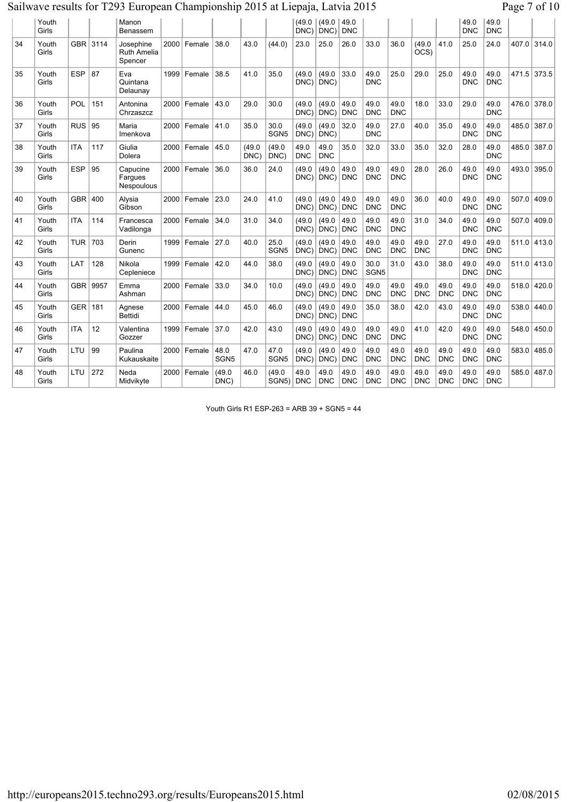# Sailwave results for T293 European Championship 2015 at Liepaja, Latvia 2015 Pag

| Page $7$ of $10$ |  |  |
|------------------|--|--|
|                  |  |  |

|    | Youth<br>Girls |                  |          | Manon<br>Benassem                          |      |               |                          |                |                          | (49.0)<br>DNC)     | (49.0)<br>DNC)     | 49.0<br><b>DNC</b> |                          |                    |                    |                    | 49.0<br><b>DNC</b> | 49.0<br><b>DNC</b> |       |             |
|----|----------------|------------------|----------|--------------------------------------------|------|---------------|--------------------------|----------------|--------------------------|--------------------|--------------------|--------------------|--------------------------|--------------------|--------------------|--------------------|--------------------|--------------------|-------|-------------|
| 34 | Youth<br>Girls |                  | GBR 3114 | Josephine<br><b>Ruth Amelia</b><br>Spencer |      | 2000 Female   | 38.0                     | 43.0           | (44.0)                   | 23.0               | 25.0               | 26.0               | 33.0                     | 36.0               | (49.0)<br>OCS)     | 41.0               | 25.0               | 24.0               |       | 407.0 314.0 |
| 35 | Youth<br>Girls | <b>ESP</b>       | 87       | Eva<br>Quintana<br>Delaunay                | 1999 | Female        | 38.5                     | 41.0           | 35.0                     | (49.0)<br>DNC      | (49.0)<br>DNC)     | 33.0               | 49.0<br><b>DNC</b>       | 25.0               | 29.0               | 25.0               | 49.0<br><b>DNC</b> | 49.0<br><b>DNC</b> | 471.5 | 373.5       |
| 36 | Youth<br>Girls | POL              | 151      | Antonina<br>Chrzaszcz                      |      | 2000   Female | 43.0                     | 29.0           | 30.0                     | (49.0)<br>DNC      | (49.0)<br>DNC)     | 49.0<br><b>DNC</b> | 49.0<br><b>DNC</b>       | 49.0<br><b>DNC</b> | 18.0               | 33.0               | 29.0               | 49.0<br><b>DNC</b> | 476.0 | 378.0       |
| 37 | Youth<br>Girls | $RUS$   95       |          | Maria<br>Imenkova                          |      | 2000   Female | 41.0                     | 35.0           | 30.0<br>SGN <sub>5</sub> | (49.0)<br>DNC)     | (49.0)<br>DNC)     | 32.0               | 49.0<br><b>DNC</b>       | 27.0               | 40.0               | 35.0               | 49.0<br><b>DNC</b> | 49.0<br><b>DNC</b> | 485.0 | 387.0       |
| 38 | Youth<br>Girls | <b>ITA</b>       | 117      | Giulia<br>Dolera                           | 2000 | Female        | 45.0                     | (49.0)<br>DNC) | (49.0)<br>DNC)           | 49.0<br><b>DNC</b> | 49.0<br><b>DNC</b> | 35.0               | 32.0                     | 33.0               | 35.0               | 32.0               | 28.0               | 49.0<br><b>DNC</b> | 485.0 | 387.0       |
| 39 | Youth<br>Girls | <b>ESP</b>       | 95       | Capucine<br>Fargues<br>Nespoulous          | 2000 | Female        | 36.0                     | 36.0           | 24.0                     | (49.0)<br>DNC)     | (49.0)<br>DNC)     | 49.0<br><b>DNC</b> | 49.0<br><b>DNC</b>       | 49.0<br><b>DNC</b> | 28.0               | 26.0               | 49.0<br><b>DNC</b> | 49.0<br><b>DNC</b> | 493.0 | 395.0       |
| 40 | Youth<br>Girls | <b>GBR</b>       | 400      | Alysia<br>Gibson                           | 2000 | Female        | 23.0                     | 24.0           | 41.0                     | (49.0)<br>DNC)     | (49.0)<br>DNC)     | 49.0<br><b>DNC</b> | 49.0<br><b>DNC</b>       | 49.0<br><b>DNC</b> | 36.0               | 40.0               | 49.0<br><b>DNC</b> | 49.0<br><b>DNC</b> | 507.0 | 409.0       |
| 41 | Youth<br>Girls | <b>ITA</b>       | 114      | Francesca<br>Vadilonga                     | 2000 | Female        | 34.0                     | 31.0           | 34.0                     | (49.0)<br>DNC      | (49.0)<br>DNC)     | 49.0<br>DNC        | 49.0<br><b>DNC</b>       | 49.0<br><b>DNC</b> | 31.0               | 34.0               | 49.0<br><b>DNC</b> | 49.0<br><b>DNC</b> | 507.0 | 409.0       |
| 42 | Youth<br>Girls | TUR              | 703      | Derin<br>Gunenc                            | 1999 | Female        | 27.0                     | 40.0           | 25.0<br>SGN <sub>5</sub> | (49.0)<br>DNC      | (49.0)<br>DNC)     | 49.0<br>DNC        | 49.0<br><b>DNC</b>       | 49.0<br><b>DNC</b> | 49.0<br><b>DNC</b> | 27.0               | 49.0<br><b>DNC</b> | 49.0<br><b>DNC</b> |       | 511.0 413.0 |
| 43 | Youth<br>Girls | LAT              | 128      | Nikola<br>Cepleniece                       | 1999 | Female        | 42.0                     | 44.0           | 38.0                     | (49.0)<br>$DNC$ )  | (49.0)<br>DNC)     | 49.0<br>DNC        | 30.0<br>SGN <sub>5</sub> | 31.0               | 43.0               | 38.0               | 49.0<br><b>DNC</b> | 49.0<br><b>DNC</b> |       | 511.0 413.0 |
| 44 | Youth<br>Girls | GBR <sup>1</sup> | 9957     | Emma<br>Ashman                             | 2000 | Female        | 33.0                     | 34.0           | 10.0                     | (49.0)<br>DNC)     | (49.0)<br>DNC)     | 49.0<br><b>DNC</b> | 49.0<br><b>DNC</b>       | 49.0<br><b>DNC</b> | 49.0<br><b>DNC</b> | 49.0<br><b>DNC</b> | 49.0<br><b>DNC</b> | 49.0<br><b>DNC</b> | 518.0 | 420.0       |
| 45 | Youth<br>Girls | <b>GER</b>       | 181      | Agnese<br><b>Bettidi</b>                   | 2000 | Female        | 44.0                     | 45.0           | 46.0                     | (49.0)<br>DNC      | (49.0)<br>DNC)     | 49.0<br><b>DNC</b> | 35.0                     | 38.0               | 42.0               | 43.0               | 49.0<br><b>DNC</b> | 49.0<br><b>DNC</b> | 538.0 | 440.0       |
| 46 | Youth<br>Girls | <b>ITA</b>       | 12       | Valentina<br>Gozzer                        | 1999 | Female        | 37.0                     | 42.0           | 43.0                     | (49.0)<br>DNC      | (49.0)<br>DNC)     | 49.0<br>DNC        | 49.0<br><b>DNC</b>       | 49.0<br><b>DNC</b> | 41.0               | 42.0               | 49.0<br><b>DNC</b> | 49.0<br><b>DNC</b> | 548.0 | 450.0       |
| 47 | Youth<br>Girls | LTU              | 99       | Paulina<br>Kukauskaite                     | 2000 | Female        | 48.0<br>SGN <sub>5</sub> | 47.0           | 47.0<br>SGN <sub>5</sub> | (49.0)<br>DNC)     | (49.0)<br>DNC)     | 49.0<br><b>DNC</b> | 49.0<br><b>DNC</b>       | 49.0<br><b>DNC</b> | 49.0<br><b>DNC</b> | 49.0<br><b>DNC</b> | 49.0<br><b>DNC</b> | 49.0<br><b>DNC</b> | 583.0 | 485.0       |
| 48 | Youth<br>Girls | LTU              | 272      | Neda<br>Midvikyte                          |      | 2000 Female   | (49.0)<br>DNC)           | 46.0           | (49.0)<br>SGN5) DNC      | 49.0               | 49.0<br><b>DNC</b> | 49.0<br><b>DNC</b> | 49.0<br><b>DNC</b>       | 49.0<br><b>DNC</b> | 49.0<br><b>DNC</b> | 49.0<br><b>DNC</b> | 49.0<br><b>DNC</b> | 49.0<br><b>DNC</b> |       | 585.0 487.0 |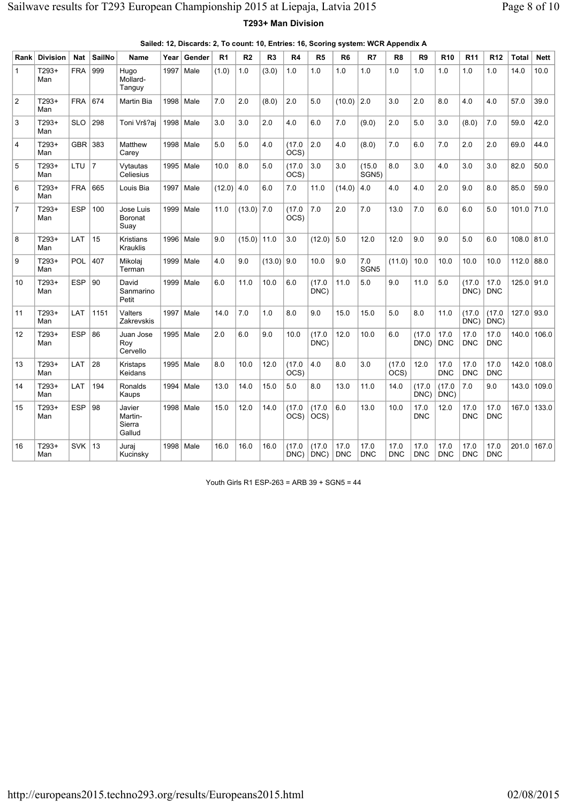## **T293+ Man Division**

|  | Sailed: 12, Discards: 2, To count: 10, Entries: 16, Scoring system: WCR Appendix A |  |  |  |  |  |
|--|------------------------------------------------------------------------------------|--|--|--|--|--|
|  |                                                                                    |  |  |  |  |  |

| Rank           | <b>Division</b> | Nat        | <b>SailNo</b>  | Name                                  | Year | Gender      | R <sub>1</sub> | R <sub>2</sub> | R <sub>3</sub> | R4                | R <sub>5</sub> | R <sub>6</sub>     | R7                           | R <sub>8</sub>     | R <sub>9</sub>     | R <sub>10</sub>    | R <sub>11</sub>    | R <sub>12</sub>    | <b>Total</b> | <b>Nett</b> |
|----------------|-----------------|------------|----------------|---------------------------------------|------|-------------|----------------|----------------|----------------|-------------------|----------------|--------------------|------------------------------|--------------------|--------------------|--------------------|--------------------|--------------------|--------------|-------------|
| 1              | T293+<br>Man    | <b>FRA</b> | 999            | Hugo<br>Mollard-<br>Tanguy            | 1997 | Male        | (1.0)          | 1.0            | (3.0)          | 1.0               | 1.0            | 1.0                | 1.0                          | 1.0                | 1.0                | 1.0                | 1.0                | 1.0                | 14.0         | 10.0        |
| $\overline{2}$ | T293+<br>Man    | <b>FRA</b> | 674            | Martin Bia                            |      | 1998   Male | 7.0            | 2.0            | (8.0)          | 2.0               | 5.0            | (10.0)             | 2.0                          | 3.0                | 2.0                | 8.0                | 4.0                | 4.0                | 57.0         | 39.0        |
| 3              | T293+<br>Man    | <b>SLO</b> | 298            | Toni Vrš?aj                           |      | 1998   Male | 3.0            | 3.0            | 2.0            | 4.0               | 6.0            | 7.0                | (9.0)                        | 2.0                | 5.0                | 3.0                | (8.0)              | 7.0                | 59.0         | 42.0        |
| $\overline{4}$ | T293+<br>Man    | GBR 383    |                | Matthew<br>Carey                      |      | 1998   Male | 5.0            | 5.0            | 4.0            | (17.0)<br>OCS)    | 2.0            | 4.0                | (8.0)                        | 7.0                | 6.0                | 7.0                | 2.0                | 2.0                | 69.0         | 44.0        |
| 5              | T293+<br>Man    | LTU        | $\overline{7}$ | Vytautas<br>Celiesius                 |      | 1995   Male | 10.0           | 8.0            | 5.0            | (17.0)<br>OCS)    | 3.0            | 3.0                | (15.0)<br>SGN <sub>5</sub> ) | 8.0                | 3.0                | 4.0                | 3.0                | 3.0                | 82.0         | 50.0        |
| 6              | T293+<br>Man    | FRA        | 665            | Louis Bia                             | 1997 | Male        | $(12.0)$ 4.0   |                | 6.0            | 7.0               | 11.0           | (14.0)             | 4.0                          | 4.0                | 4.0                | 2.0                | 9.0                | 8.0                | 85.0         | 59.0        |
| $\overline{7}$ | $T293+$<br>Man  | <b>ESP</b> | 100            | Jose Luis<br>Boronat<br>Suay          |      | 1999   Male | 11.0           | $(13.0)$ 7.0   |                | (17.0)<br>OCS)    | 7.0            | 2.0                | 7.0                          | 13.0               | 7.0                | 6.0                | 6.0                | 5.0                | $101.0$ 71.0 |             |
| 8              | T293+<br>Man    | LAT        | 15             | <b>Kristians</b><br><b>Krauklis</b>   |      | 1996   Male | 9.0            | (15.0)         | 11.0           | 3.0               | (12.0)         | 5.0                | 12.0                         | 12.0               | 9.0                | 9.0                | 5.0                | 6.0                | 108.0        | 81.0        |
| 9              | $T293+$<br>Man  | <b>POL</b> | 407            | Mikolaj<br>Terman                     | 1999 | Male        | 4.0            | 9.0            | (13.0)         | 9.0               | 10.0           | 9.0                | 7.0<br>SGN <sub>5</sub>      | (11.0)             | 10.0               | 10.0               | 10.0               | 10.0               | $112.0$ 88.0 |             |
| 10             | T293+<br>Man    | <b>ESP</b> | 90             | David<br>Sanmarino<br>Petit           |      | 1999   Male | 6.0            | 11.0           | 10.0           | 6.0               | (17.0)<br>DNC) | 11.0               | 5.0                          | 9.0                | 11.0               | 5.0                | (17.0)<br>DNC)     | 17.0<br><b>DNC</b> | 125.0 91.0   |             |
| 11             | $T293+$<br>Man  | LAT        | 1151           | Valters<br>Zakrevskis                 | 1997 | Male        | 14.0           | 7.0            | 1.0            | 8.0               | 9.0            | 15.0               | 15.0                         | 5.0                | 8.0                | 11.0               | (17.0)<br>DNC)     | (17.0)<br>DNC)     | $127.0$ 93.0 |             |
| 12             | $T293+$<br>Man  | <b>ESP</b> | 86             | Juan Jose<br>Roy<br>Cervello          |      | 1995   Male | 2.0            | 6.0            | 9.0            | 10.0              | (17.0)<br>DNC) | 12.0               | 10.0                         | 6.0                | (17.0)<br>DNC)     | 17.0<br><b>DNC</b> | 17.0<br><b>DNC</b> | 17.0<br><b>DNC</b> |              | 140.0 106.0 |
| 13             | T293+<br>Man    | LAT        | 28             | Kristaps<br>Keidans                   |      | 1995   Male | 8.0            | 10.0           | 12.0           | (17.0)<br>OCS)    | 4.0            | 8.0                | 3.0                          | (17.0)<br>OCS)     | 12.0               | 17.0<br><b>DNC</b> | 17.0<br><b>DNC</b> | 17.0<br><b>DNC</b> | 142.0        | 108.0       |
| 14             | T293+<br>Man    | LAT        | 194            | Ronalds<br>Kaups                      |      | 1994   Male | 13.0           | 14.0           | 15.0           | 5.0               | 8.0            | 13.0               | 11.0                         | 14.0               | (17.0)<br>DNC)     | (17.0)<br>DNC)     | 7.0                | 9.0                | 143.0        | 109.0       |
| 15             | $T293+$<br>Man  | <b>ESP</b> | 98             | Javier<br>Martin-<br>Sierra<br>Gallud |      | 1998   Male | 15.0           | 12.0           | 14.0           | (17.0)<br>OCS)    | (17.0)<br>OCS) | 6.0                | 13.0                         | 10.0               | 17.0<br><b>DNC</b> | 12.0               | 17.0<br><b>DNC</b> | 17.0<br><b>DNC</b> | 167.0        | 133.0       |
| 16             | T293+<br>Man    | <b>SVK</b> | 13             | Juraj<br>Kucinsky                     |      | 1998   Male | 16.0           | 16.0           | 16.0           | (17.0)<br>$DNC$ ) | (17.0)<br>DNC) | 17.0<br><b>DNC</b> | 17.0<br><b>DNC</b>           | 17.0<br><b>DNC</b> | 17.0<br><b>DNC</b> | 17.0<br><b>DNC</b> | 17.0<br><b>DNC</b> | 17.0<br><b>DNC</b> | 201.0        | 167.0       |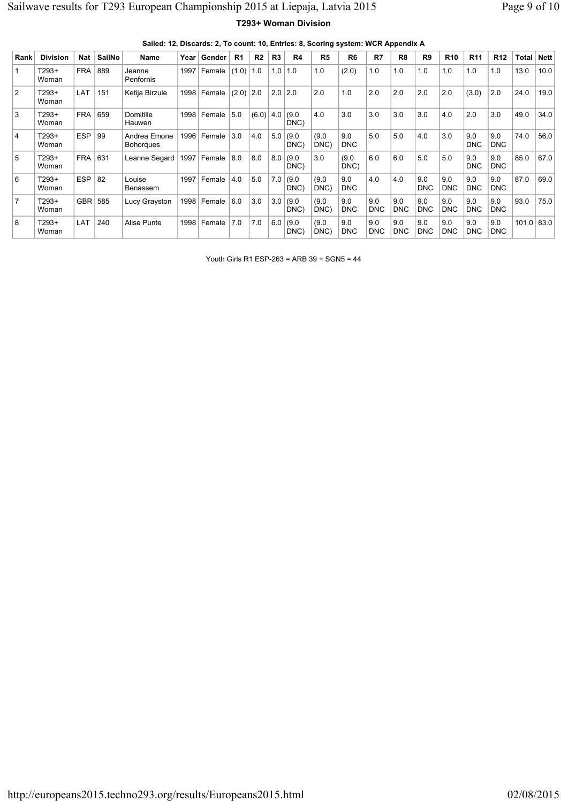## **T293+ Woman Division**

| Sailed: 12, Discards: 2, To count: 10, Entries: 8, Scoring system: WCR Appendix A |  |  |  |  |
|-----------------------------------------------------------------------------------|--|--|--|--|
|-----------------------------------------------------------------------------------|--|--|--|--|

| Rank           | <b>Division</b> | <b>Nat</b> | SailNo | Name                             | Year | Gender | R <sub>1</sub> | R <sub>2</sub> | R <sub>3</sub> | R <sub>4</sub> | R <sub>5</sub> | R <sub>6</sub>    | R7                | R <sub>8</sub>    | R <sub>9</sub>    | <b>R10</b>        | <b>R11</b>        | R <sub>12</sub>   | <b>Total</b> | <b>Nett</b> |
|----------------|-----------------|------------|--------|----------------------------------|------|--------|----------------|----------------|----------------|----------------|----------------|-------------------|-------------------|-------------------|-------------------|-------------------|-------------------|-------------------|--------------|-------------|
|                | T293+<br>Woman  | <b>FRA</b> | 889    | Jeanne<br>Penfornis              | 1997 | Female | (1.0)          | 1.0            | 1.0            | 1.0            | 1.0            | (2.0)             | 1.0               | 1.0               | 1.0               | 1.0               | 1.0               | 1.0               | 13.0         | 10.0        |
| $\overline{2}$ | T293+<br>Woman  | LAT        | 151    | Ketija Birzule                   | 1998 | Female | (2.0)          | 2.0            | 2.0            | 2.0            | 2.0            | 1.0               | 2.0               | 2.0               | 2.0               | 2.0               | (3.0)             | 2.0               | 24.0         | 19.0        |
| 3              | T293+<br>Woman  | <b>FRA</b> | 659    | Domitille<br>Hauwen              | 1998 | Female | 5.0            | $(6.0)$ 4.0    |                | (9.0)<br>DNC)  | 4.0            | 3.0               | 3.0               | 3.0               | 3.0               | 4.0               | 2.0               | 3.0               | 49.0         | 34.0        |
| $ 4\rangle$    | T293+<br>Woman  | <b>ESP</b> | 99     | Andrea Emone<br><b>Bohorgues</b> | 1996 | Female | 3.0            | 4.0            | 5.0            | (9.0)<br>DNC)  | (9.0)<br>DNC)  | 9.0<br><b>DNC</b> | 5.0               | 5.0               | 4.0               | 3.0               | 9.0<br>DNC        | 9.0<br>DNC        | 74.0         | 56.0        |
| 5              | T293+<br>Woman  | <b>FRA</b> | 631    | Leanne Segard                    | 1997 | Female | 8.0            | 8.0            | 8.0            | (9.0)<br>DNC)  | 3.0            | (9.0)<br>DNC)     | 6.0               | 6.0               | 5.0               | 5.0               | 9.0<br><b>DNC</b> | 9.0<br><b>DNC</b> | 85.0         | 67.0        |
| <sup>6</sup>   | T293+<br>Woman  | <b>ESP</b> | 82     | Louise<br>Benassem               | 1997 | Female | 4.0            | 5.0            | 7.0            | (9.0)<br>DNC)  | (9.0)<br>DNC)  | 9.0<br><b>DNC</b> | 4.0               | 4.0               | 9.0<br><b>DNC</b> | 9.0<br><b>DNC</b> | 9.0<br><b>DNC</b> | 9.0<br><b>DNC</b> | 87.0         | 69.0        |
| $\overline{7}$ | T293+<br>Woman  | <b>GBR</b> | 585    | Lucy Grayston                    | 1998 | Female | 6.0            | 3.0            | 3.0            | (9.0)<br>DNC)  | (9.0)<br>DNC)  | 9.0<br><b>DNC</b> | 9.0<br><b>DNC</b> | 9.0<br><b>DNC</b> | 9.0<br><b>DNC</b> | 9.0<br><b>DNC</b> | 9.0<br><b>DNC</b> | 9.0<br><b>DNC</b> | 93.0         | 75.0        |
| 8              | T293+<br>Woman  | LAT        | 240    | Alise Punte                      | 1998 | Female | 7.0            | 7.0            | 6.0            | (9.0)<br>DNC)  | (9.0)<br>DNC)  | 9.0<br>DNC        | 9.0<br><b>DNC</b> | 9.0<br>DNC        | 9.0<br><b>DNC</b> | 9.0<br><b>DNC</b> | 9.0<br>DNC        | 9.0<br>DNC        | 101.0        | 83.0        |